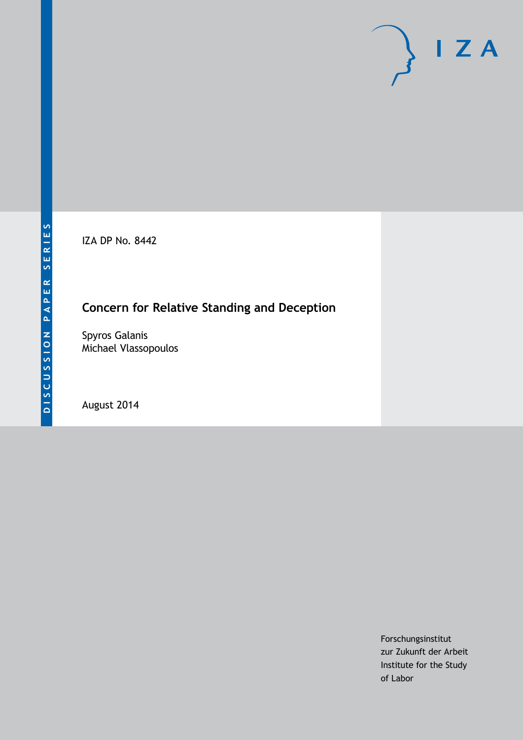IZA DP No. 8442

## **Concern for Relative Standing and Deception**

Spyros Galanis Michael Vlassopoulos

August 2014

Forschungsinstitut zur Zukunft der Arbeit Institute for the Study of Labor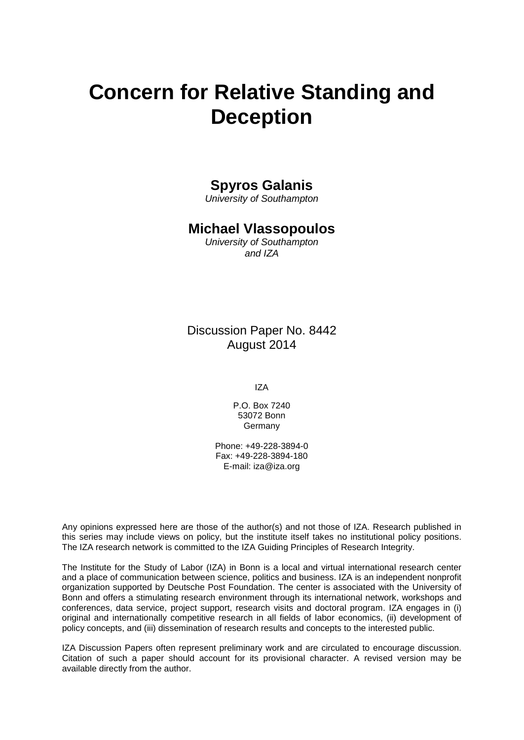# **Concern for Relative Standing and Deception**

## **Spyros Galanis**

*University of Southampton*

## **Michael Vlassopoulos**

*University of Southampton and IZA*

Discussion Paper No. 8442 August 2014

IZA

P.O. Box 7240 53072 Bonn Germany

Phone: +49-228-3894-0 Fax: +49-228-3894-180 E-mail: [iza@iza.org](mailto:iza@iza.org)

Any opinions expressed here are those of the author(s) and not those of IZA. Research published in this series may include views on policy, but the institute itself takes no institutional policy positions. The IZA research network is committed to the IZA Guiding Principles of Research Integrity.

The Institute for the Study of Labor (IZA) in Bonn is a local and virtual international research center and a place of communication between science, politics and business. IZA is an independent nonprofit organization supported by Deutsche Post Foundation. The center is associated with the University of Bonn and offers a stimulating research environment through its international network, workshops and conferences, data service, project support, research visits and doctoral program. IZA engages in (i) original and internationally competitive research in all fields of labor economics, (ii) development of policy concepts, and (iii) dissemination of research results and concepts to the interested public.

<span id="page-1-0"></span>IZA Discussion Papers often represent preliminary work and are circulated to encourage discussion. Citation of such a paper should account for its provisional character. A revised version may be available directly from the author.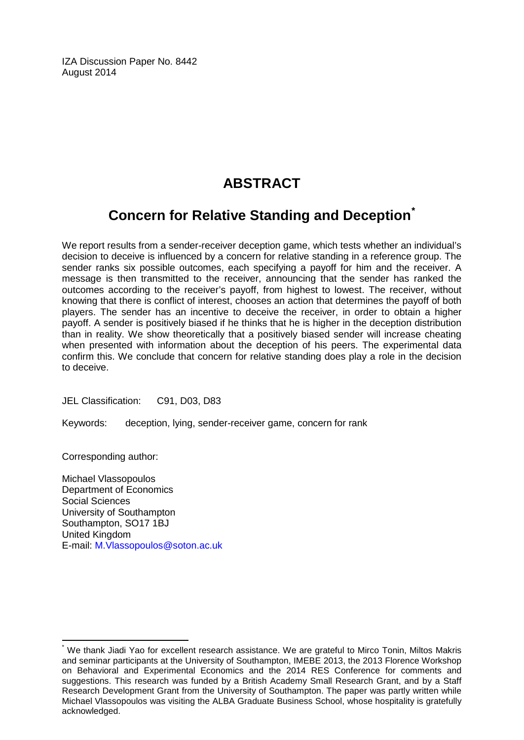IZA Discussion Paper No. 8442 August 2014

## **ABSTRACT**

## **Concern for Relative Standing and Deception[\\*](#page-1-0)**

We report results from a sender-receiver deception game, which tests whether an individual's decision to deceive is influenced by a concern for relative standing in a reference group. The sender ranks six possible outcomes, each specifying a payoff for him and the receiver. A message is then transmitted to the receiver, announcing that the sender has ranked the outcomes according to the receiver's payoff, from highest to lowest. The receiver, without knowing that there is conflict of interest, chooses an action that determines the payoff of both players. The sender has an incentive to deceive the receiver, in order to obtain a higher payoff. A sender is positively biased if he thinks that he is higher in the deception distribution than in reality. We show theoretically that a positively biased sender will increase cheating when presented with information about the deception of his peers. The experimental data confirm this. We conclude that concern for relative standing does play a role in the decision to deceive.

JEL Classification: C91, D03, D83

Keywords: deception, lying, sender-receiver game, concern for rank

Corresponding author:

Michael Vlassopoulos Department of Economics Social Sciences University of Southampton Southampton, SO17 1BJ United Kingdom E-mail: [M.Vlassopoulos@soton.ac.uk](mailto:M.Vlassopoulos@soton.ac.uk)

We thank Jiadi Yao for excellent research assistance. We are grateful to Mirco Tonin, Miltos Makris and seminar participants at the University of Southampton, IMEBE 2013, the 2013 Florence Workshop on Behavioral and Experimental Economics and the 2014 RES Conference for comments and suggestions. This research was funded by a British Academy Small Research Grant, and by a Staff Research Development Grant from the University of Southampton. The paper was partly written while Michael Vlassopoulos was visiting the ALBA Graduate Business School, whose hospitality is gratefully acknowledged.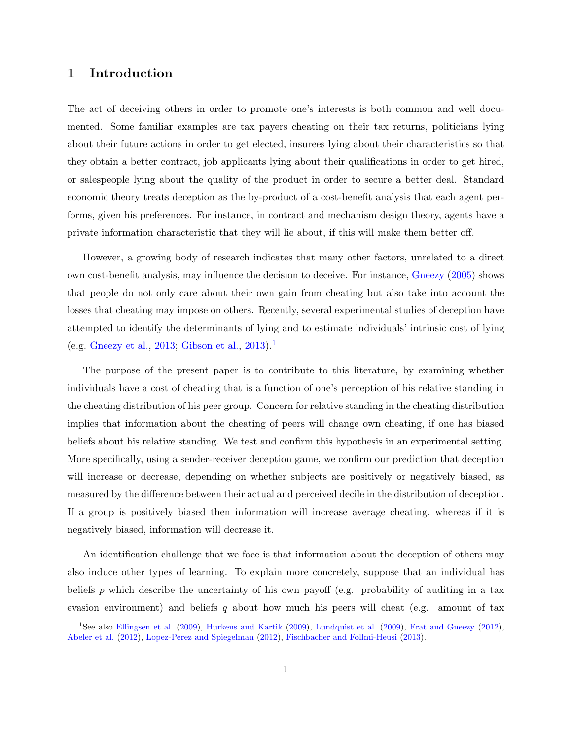## 1 Introduction

The act of deceiving others in order to promote one's interests is both common and well documented. Some familiar examples are tax payers cheating on their tax returns, politicians lying about their future actions in order to get elected, insurees lying about their characteristics so that they obtain a better contract, job applicants lying about their qualifications in order to get hired, or salespeople lying about the quality of the product in order to secure a better deal. Standard economic theory treats deception as the by-product of a cost-benefit analysis that each agent performs, given his preferences. For instance, in contract and mechanism design theory, agents have a private information characteristic that they will lie about, if this will make them better off.

However, a growing body of research indicates that many other factors, unrelated to a direct own cost-benefit analysis, may influence the decision to deceive. For instance, [Gneezy](#page-24-0) [\(2005\)](#page-24-0) shows that people do not only care about their own gain from cheating but also take into account the losses that cheating may impose on others. Recently, several experimental studies of deception have attempted to identify the determinants of lying and to estimate individuals' intrinsic cost of lying (e.g. [Gneezy et al.,](#page-24-1) [2013;](#page-24-1) [Gibson et al.,](#page-24-2) [2013\)](#page-24-2).<sup>[1](#page-3-0)</sup>

The purpose of the present paper is to contribute to this literature, by examining whether individuals have a cost of cheating that is a function of one's perception of his relative standing in the cheating distribution of his peer group. Concern for relative standing in the cheating distribution implies that information about the cheating of peers will change own cheating, if one has biased beliefs about his relative standing. We test and confirm this hypothesis in an experimental setting. More specifically, using a sender-receiver deception game, we confirm our prediction that deception will increase or decrease, depending on whether subjects are positively or negatively biased, as measured by the difference between their actual and perceived decile in the distribution of deception. If a group is positively biased then information will increase average cheating, whereas if it is negatively biased, information will decrease it.

An identification challenge that we face is that information about the deception of others may also induce other types of learning. To explain more concretely, suppose that an individual has beliefs p which describe the uncertainty of his own payoff (e.g. probability of auditing in a tax evasion environment) and beliefs q about how much his peers will cheat (e.g. amount of tax

<span id="page-3-0"></span><sup>&</sup>lt;sup>1</sup>See also [Ellingsen et al.](#page-24-3) [\(2009\)](#page-25-0), [Hurkens and Kartik](#page-24-4) (2009), [Lundquist et al.](#page-25-0) (2009), [Erat and Gneezy](#page-24-5) [\(2012\)](#page-24-5), [Abeler et al.](#page-23-0) [\(2012\)](#page-23-0), [Lopez-Perez and Spiegelman](#page-25-1) [\(2012\)](#page-25-1), [Fischbacher and Follmi-Heusi](#page-24-6) [\(2013\)](#page-24-6).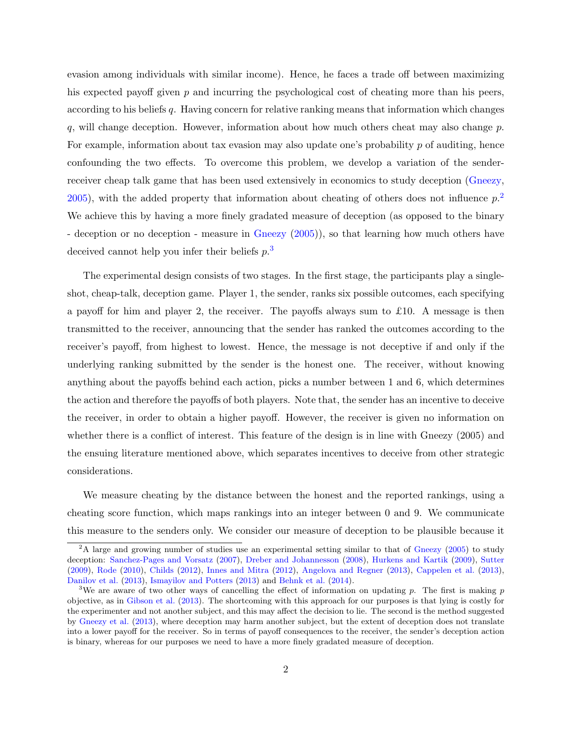evasion among individuals with similar income). Hence, he faces a trade off between maximizing his expected payoff given  $p$  and incurring the psychological cost of cheating more than his peers, according to his beliefs q. Having concern for relative ranking means that information which changes q, will change deception. However, information about how much others cheat may also change  $p$ . For example, information about tax evasion may also update one's probability  $p$  of auditing, hence confounding the two effects. To overcome this problem, we develop a variation of the sender-receiver cheap talk game that has been used extensively in economics to study deception [\(Gneezy,](#page-24-0)  $(2005)$  $(2005)$ , with the added property that information about cheating of others does not influence  $p<sup>2</sup>$  $p<sup>2</sup>$  $p<sup>2</sup>$ . We achieve this by having a more finely gradated measure of deception (as opposed to the binary - deception or no deception - measure in [Gneezy](#page-24-0) [\(2005\)](#page-24-0)), so that learning how much others have deceived cannot help you infer their beliefs  $p^{3}$  $p^{3}$  $p^{3}$ .

The experimental design consists of two stages. In the first stage, the participants play a singleshot, cheap-talk, deception game. Player 1, the sender, ranks six possible outcomes, each specifying a payoff for him and player 2, the receiver. The payoffs always sum to £10. A message is then transmitted to the receiver, announcing that the sender has ranked the outcomes according to the receiver's payoff, from highest to lowest. Hence, the message is not deceptive if and only if the underlying ranking submitted by the sender is the honest one. The receiver, without knowing anything about the payoffs behind each action, picks a number between 1 and 6, which determines the action and therefore the payoffs of both players. Note that, the sender has an incentive to deceive the receiver, in order to obtain a higher payoff. However, the receiver is given no information on whether there is a conflict of interest. This feature of the design is in line with Gneezy (2005) and the ensuing literature mentioned above, which separates incentives to deceive from other strategic considerations.

We measure cheating by the distance between the honest and the reported rankings, using a cheating score function, which maps rankings into an integer between 0 and 9. We communicate this measure to the senders only. We consider our measure of deception to be plausible because it

<span id="page-4-0"></span><sup>&</sup>lt;sup>2</sup>A large and growing number of studies use an experimental setting similar to that of [Gneezy](#page-24-0) [\(2005\)](#page-24-0) to study deception: [Sanchez-Pages and Vorsatz](#page-25-2) [\(2007\)](#page-25-2), [Dreber and Johannesson](#page-23-1) [\(2008\)](#page-23-1), [Hurkens and Kartik](#page-24-4) [\(2009\)](#page-24-4), [Sutter](#page-25-3) [\(2009\)](#page-25-3), [Rode](#page-25-4) [\(2010\)](#page-25-4), [Childs](#page-23-2) [\(2012\)](#page-23-2), [Innes and Mitra](#page-25-5) [\(2012\)](#page-25-5), [Angelova and Regner](#page-23-3) [\(2013\)](#page-23-3), [Cappelen et al.](#page-23-4) [\(2013\)](#page-23-4), [Danilov et al.](#page-23-5) [\(2013\)](#page-23-5), [Ismayilov and Potters](#page-25-6) [\(2013\)](#page-25-6) and [Behnk et al.](#page-23-6) [\(2014\)](#page-23-6).

<span id="page-4-1"></span><sup>&</sup>lt;sup>3</sup>We are aware of two other ways of cancelling the effect of information on updating p. The first is making p objective, as in [Gibson et al.](#page-24-2) [\(2013\)](#page-24-2). The shortcoming with this approach for our purposes is that lying is costly for the experimenter and not another subject, and this may affect the decision to lie. The second is the method suggested by [Gneezy et al.](#page-24-1) [\(2013\)](#page-24-1), where deception may harm another subject, but the extent of deception does not translate into a lower payoff for the receiver. So in terms of payoff consequences to the receiver, the sender's deception action is binary, whereas for our purposes we need to have a more finely gradated measure of deception.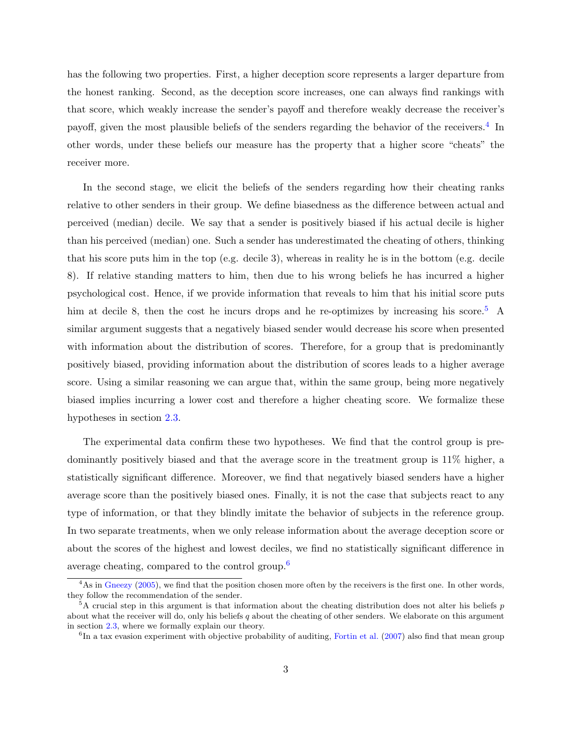has the following two properties. First, a higher deception score represents a larger departure from the honest ranking. Second, as the deception score increases, one can always find rankings with that score, which weakly increase the sender's payoff and therefore weakly decrease the receiver's payoff, given the most plausible beliefs of the senders regarding the behavior of the receivers.<sup>[4](#page-5-0)</sup> In other words, under these beliefs our measure has the property that a higher score "cheats" the receiver more.

In the second stage, we elicit the beliefs of the senders regarding how their cheating ranks relative to other senders in their group. We define biasedness as the difference between actual and perceived (median) decile. We say that a sender is positively biased if his actual decile is higher than his perceived (median) one. Such a sender has underestimated the cheating of others, thinking that his score puts him in the top (e.g. decile 3), whereas in reality he is in the bottom (e.g. decile 8). If relative standing matters to him, then due to his wrong beliefs he has incurred a higher psychological cost. Hence, if we provide information that reveals to him that his initial score puts him at decile 8, then the cost he incurs drops and he re-optimizes by increasing his score.<sup>[5](#page-5-1)</sup> A similar argument suggests that a negatively biased sender would decrease his score when presented with information about the distribution of scores. Therefore, for a group that is predominantly positively biased, providing information about the distribution of scores leads to a higher average score. Using a similar reasoning we can argue that, within the same group, being more negatively biased implies incurring a lower cost and therefore a higher cheating score. We formalize these hypotheses in section [2.3.](#page-9-0)

The experimental data confirm these two hypotheses. We find that the control group is predominantly positively biased and that the average score in the treatment group is 11% higher, a statistically significant difference. Moreover, we find that negatively biased senders have a higher average score than the positively biased ones. Finally, it is not the case that subjects react to any type of information, or that they blindly imitate the behavior of subjects in the reference group. In two separate treatments, when we only release information about the average deception score or about the scores of the highest and lowest deciles, we find no statistically significant difference in average cheating, compared to the control group.[6](#page-5-2)

<span id="page-5-0"></span><sup>&</sup>lt;sup>4</sup>As in [Gneezy](#page-24-0) [\(2005\)](#page-24-0), we find that the position chosen more often by the receivers is the first one. In other words, they follow the recommendation of the sender.

<span id="page-5-1"></span> $5A$  crucial step in this argument is that information about the cheating distribution does not alter his beliefs p about what the receiver will do, only his beliefs  $q$  about the cheating of other senders. We elaborate on this argument in section [2.3,](#page-9-0) where we formally explain our theory.

<span id="page-5-2"></span><sup>&</sup>lt;sup>6</sup>In a tax evasion experiment with objective probability of auditing, [Fortin et al.](#page-24-7) [\(2007\)](#page-24-7) also find that mean group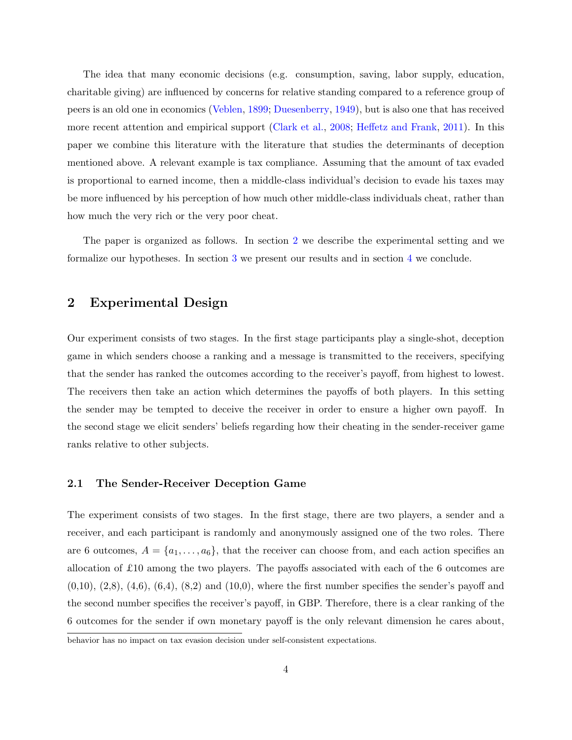The idea that many economic decisions (e.g. consumption, saving, labor supply, education, charitable giving) are influenced by concerns for relative standing compared to a reference group of peers is an old one in economics [\(Veblen,](#page-25-7) [1899;](#page-25-7) [Duesenberry,](#page-23-7) [1949\)](#page-23-7), but is also one that has received more recent attention and empirical support [\(Clark et al.,](#page-23-8) [2008;](#page-23-8) [Heffetz and Frank,](#page-24-8) [2011\)](#page-24-8). In this paper we combine this literature with the literature that studies the determinants of deception mentioned above. A relevant example is tax compliance. Assuming that the amount of tax evaded is proportional to earned income, then a middle-class individual's decision to evade his taxes may be more influenced by his perception of how much other middle-class individuals cheat, rather than how much the very rich or the very poor cheat.

The paper is organized as follows. In section [2](#page-6-0) we describe the experimental setting and we formalize our hypotheses. In section [3](#page-16-0) we present our results and in section [4](#page-22-0) we conclude.

## <span id="page-6-0"></span>2 Experimental Design

Our experiment consists of two stages. In the first stage participants play a single-shot, deception game in which senders choose a ranking and a message is transmitted to the receivers, specifying that the sender has ranked the outcomes according to the receiver's payoff, from highest to lowest. The receivers then take an action which determines the payoffs of both players. In this setting the sender may be tempted to deceive the receiver in order to ensure a higher own payoff. In the second stage we elicit senders' beliefs regarding how their cheating in the sender-receiver game ranks relative to other subjects.

#### <span id="page-6-1"></span>2.1 The Sender-Receiver Deception Game

The experiment consists of two stages. In the first stage, there are two players, a sender and a receiver, and each participant is randomly and anonymously assigned one of the two roles. There are 6 outcomes,  $A = \{a_1, \ldots, a_6\}$ , that the receiver can choose from, and each action specifies an allocation of £10 among the two players. The payoffs associated with each of the 6 outcomes are  $(0,10)$ ,  $(2,8)$ ,  $(4,6)$ ,  $(6,4)$ ,  $(8,2)$  and  $(10,0)$ , where the first number specifies the sender's payoff and the second number specifies the receiver's payoff, in GBP. Therefore, there is a clear ranking of the 6 outcomes for the sender if own monetary payoff is the only relevant dimension he cares about,

behavior has no impact on tax evasion decision under self-consistent expectations.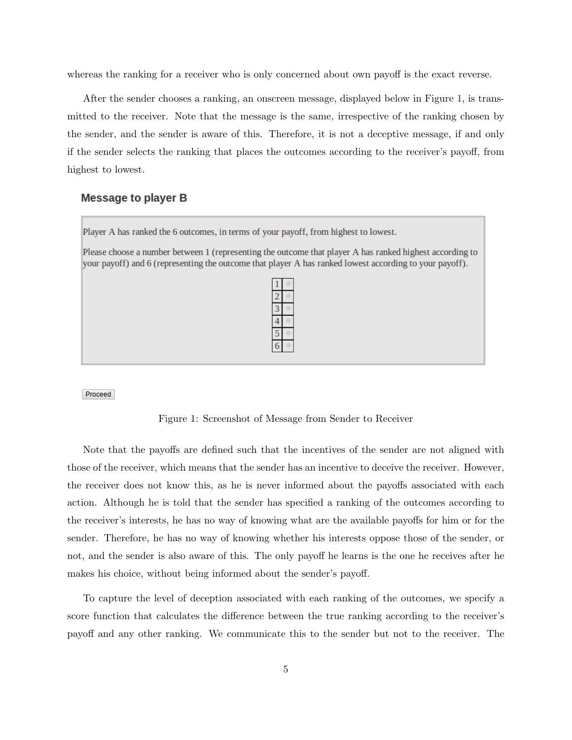whereas the ranking for a receiver who is only concerned about own payoff is the exact reverse.

After the sender chooses a ranking, an onscreen message, displayed below in Figure [1,](#page-7-0) is transmitted to the receiver. Note that the message is the same, irrespective of the ranking chosen by the sender, and the sender is aware of this. Therefore, it is not a deceptive message, if and only if the sender selects the ranking that places the outcomes according to the receiver's payoff, from highest to lowest.

#### <span id="page-7-0"></span>**Message to player B**

Player A has ranked the 6 outcomes, in terms of your payoff, from highest to lowest.

Please choose a number between 1 (representing the outcome that player A has ranked highest according to your payoff) and 6 (representing the outcome that player A has ranked lowest according to your payoff).

Proceed

Figure 1: Screenshot of Message from Sender to Receiver

Note that the payoffs are defined such that the incentives of the sender are not aligned with those of the receiver, which means that the sender has an incentive to deceive the receiver. However, the receiver does not know this, as he is never informed about the payoffs associated with each action. Although he is told that the sender has specified a ranking of the outcomes according to the receiver's interests, he has no way of knowing what are the available payoffs for him or for the sender. Therefore, he has no way of knowing whether his interests oppose those of the sender, or not, and the sender is also aware of this. The only payoff he learns is the one he receives after he makes his choice, without being informed about the sender's payoff.

To capture the level of deception associated with each ranking of the outcomes, we specify a score function that calculates the difference between the true ranking according to the receiver's payoff and any other ranking. We communicate this to the sender but not to the receiver. The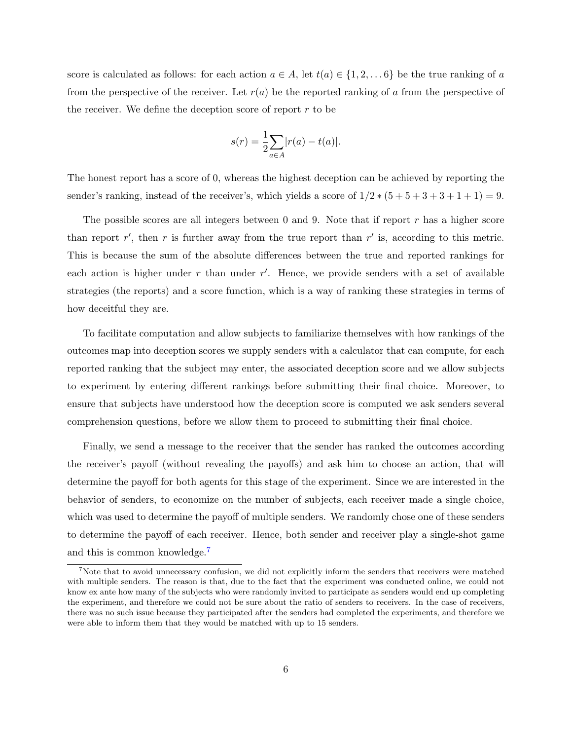score is calculated as follows: for each action  $a \in A$ , let  $t(a) \in \{1, 2, \ldots 6\}$  be the true ranking of a from the perspective of the receiver. Let  $r(a)$  be the reported ranking of a from the perspective of the receiver. We define the deception score of report  $r$  to be

$$
s(r) = \frac{1}{2} \sum_{a \in A} |r(a) - t(a)|.
$$

The honest report has a score of 0, whereas the highest deception can be achieved by reporting the sender's ranking, instead of the receiver's, which yields a score of  $1/2*(5+5+3+3+1+1)=9$ .

The possible scores are all integers between  $0$  and  $9$ . Note that if report r has a higher score than report  $r'$ , then r is further away from the true report than  $r'$  is, according to this metric. This is because the sum of the absolute differences between the true and reported rankings for each action is higher under  $r$  than under  $r'$ . Hence, we provide senders with a set of available strategies (the reports) and a score function, which is a way of ranking these strategies in terms of how deceitful they are.

To facilitate computation and allow subjects to familiarize themselves with how rankings of the outcomes map into deception scores we supply senders with a calculator that can compute, for each reported ranking that the subject may enter, the associated deception score and we allow subjects to experiment by entering different rankings before submitting their final choice. Moreover, to ensure that subjects have understood how the deception score is computed we ask senders several comprehension questions, before we allow them to proceed to submitting their final choice.

Finally, we send a message to the receiver that the sender has ranked the outcomes according the receiver's payoff (without revealing the payoffs) and ask him to choose an action, that will determine the payoff for both agents for this stage of the experiment. Since we are interested in the behavior of senders, to economize on the number of subjects, each receiver made a single choice, which was used to determine the payoff of multiple senders. We randomly chose one of these senders to determine the payoff of each receiver. Hence, both sender and receiver play a single-shot game and this is common knowledge.[7](#page-8-0)

<span id="page-8-0"></span><sup>&</sup>lt;sup>7</sup>Note that to avoid unnecessary confusion, we did not explicitly inform the senders that receivers were matched with multiple senders. The reason is that, due to the fact that the experiment was conducted online, we could not know ex ante how many of the subjects who were randomly invited to participate as senders would end up completing the experiment, and therefore we could not be sure about the ratio of senders to receivers. In the case of receivers, there was no such issue because they participated after the senders had completed the experiments, and therefore we were able to inform them that they would be matched with up to 15 senders.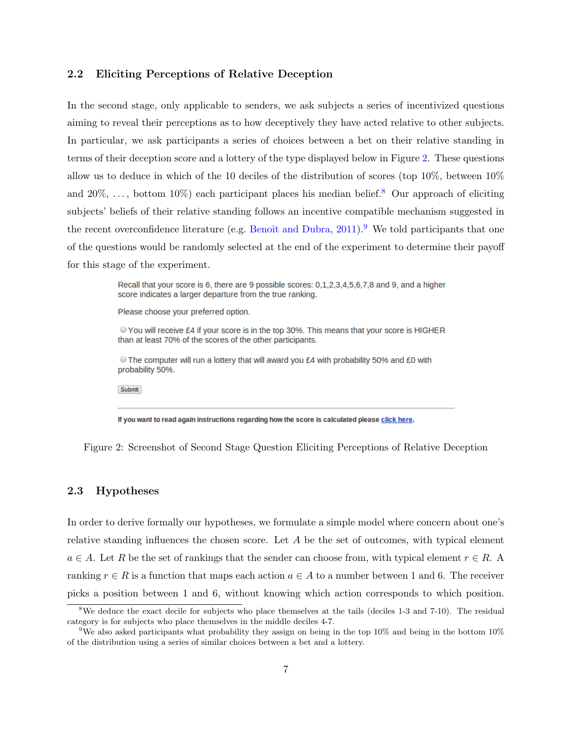#### 2.2 Eliciting Perceptions of Relative Deception

In the second stage, only applicable to senders, we ask subjects a series of incentivized questions aiming to reveal their perceptions as to how deceptively they have acted relative to other subjects. In particular, we ask participants a series of choices between a bet on their relative standing in terms of their deception score and a lottery of the type displayed below in Figure [2.](#page-9-1) These questions allow us to deduce in which of the 10 deciles of the distribution of scores (top 10%, between 10% and  $20\%, \ldots$ , bottom  $10\%$ ) each participant places his median belief.<sup>[8](#page-9-2)</sup> Our approach of eliciting subjects' beliefs of their relative standing follows an incentive compatible mechanism suggested in the recent overconfidence literature (e.g. Benoît and Dubra,  $2011$ ). We told participants that one of the questions would be randomly selected at the end of the experiment to determine their payoff for this stage of the experiment.

> <span id="page-9-1"></span>Recall that your score is 6, there are 9 possible scores: 0.1.2.3.4.5.6.7.8 and 9, and a higher score indicates a larger departure from the true ranking.

Please choose your preferred option.

● You will receive £4 if your score is in the top 30%. This means that your score is HIGHER than at least 70% of the scores of the other participants.

The computer will run a lottery that will award you £4 with probability 50% and £0 with probability 50%.

Submit

If you want to read again instructions regarding how the score is calculated please click here.

Figure 2: Screenshot of Second Stage Question Eliciting Perceptions of Relative Deception

#### <span id="page-9-0"></span>2.3 Hypotheses

In order to derive formally our hypotheses, we formulate a simple model where concern about one's relative standing influences the chosen score. Let  $A$  be the set of outcomes, with typical element  $a \in A$ . Let R be the set of rankings that the sender can choose from, with typical element  $r \in R$ . A ranking  $r \in R$  is a function that maps each action  $a \in A$  to a number between 1 and 6. The receiver picks a position between 1 and 6, without knowing which action corresponds to which position.

<span id="page-9-2"></span><sup>&</sup>lt;sup>8</sup>We deduce the exact decile for subjects who place themselves at the tails (deciles 1-3 and 7-10). The residual category is for subjects who place themselves in the middle deciles 4-7.

<span id="page-9-3"></span><sup>9</sup>We also asked participants what probability they assign on being in the top 10% and being in the bottom 10% of the distribution using a series of similar choices between a bet and a lottery.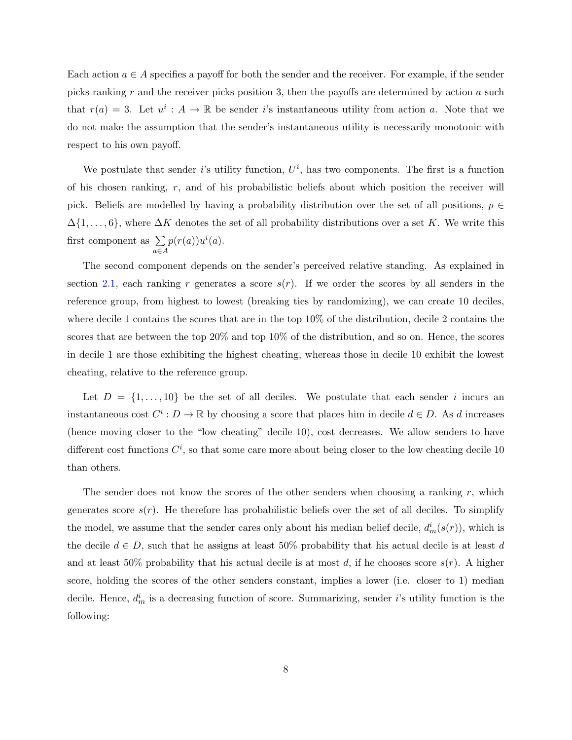Each action  $a \in A$  specifies a payoff for both the sender and the receiver. For example, if the sender picks ranking  $r$  and the receiver picks position 3, then the payoffs are determined by action  $a$  such that  $r(a) = 3$ . Let  $u^i : A \to \mathbb{R}$  be sender i's instantaneous utility from action a. Note that we do not make the assumption that the sender's instantaneous utility is necessarily monotonic with respect to his own payoff.

We postulate that sender i's utility function,  $U^i$ , has two components. The first is a function of his chosen ranking,  $r$ , and of his probabilistic beliefs about which position the receiver will pick. Beliefs are modelled by having a probability distribution over the set of all positions,  $p \in$  $\Delta$ {1,...,6}, where  $\Delta K$  denotes the set of all probability distributions over a set K. We write this first component as  $\Sigma$ a∈A  $p(r(a))u^i(a)$ .

The second component depends on the sender's perceived relative standing. As explained in section [2.1,](#page-6-1) each ranking r generates a score  $s(r)$ . If we order the scores by all senders in the reference group, from highest to lowest (breaking ties by randomizing), we can create 10 deciles, where decile 1 contains the scores that are in the top 10% of the distribution, decile 2 contains the scores that are between the top 20% and top 10% of the distribution, and so on. Hence, the scores in decile 1 are those exhibiting the highest cheating, whereas those in decile 10 exhibit the lowest cheating, relative to the reference group.

Let  $D = \{1, \ldots, 10\}$  be the set of all deciles. We postulate that each sender i incurs an instantaneous cost  $C^i: D \to \mathbb{R}$  by choosing a score that places him in decile  $d \in D$ . As d increases (hence moving closer to the "low cheating" decile 10), cost decreases. We allow senders to have different cost functions  $C^i$ , so that some care more about being closer to the low cheating decile 10 than others.

The sender does not know the scores of the other senders when choosing a ranking  $r$ , which generates score  $s(r)$ . He therefore has probabilistic beliefs over the set of all deciles. To simplify the model, we assume that the sender cares only about his median belief decile,  $d_m^i(s(r))$ , which is the decile  $d \in D$ , such that he assigns at least 50% probability that his actual decile is at least d and at least 50% probability that his actual decile is at most d, if he chooses score  $s(r)$ . A higher score, holding the scores of the other senders constant, implies a lower (i.e. closer to 1) median decile. Hence,  $d_m^i$  is a decreasing function of score. Summarizing, sender *i*'s utility function is the following: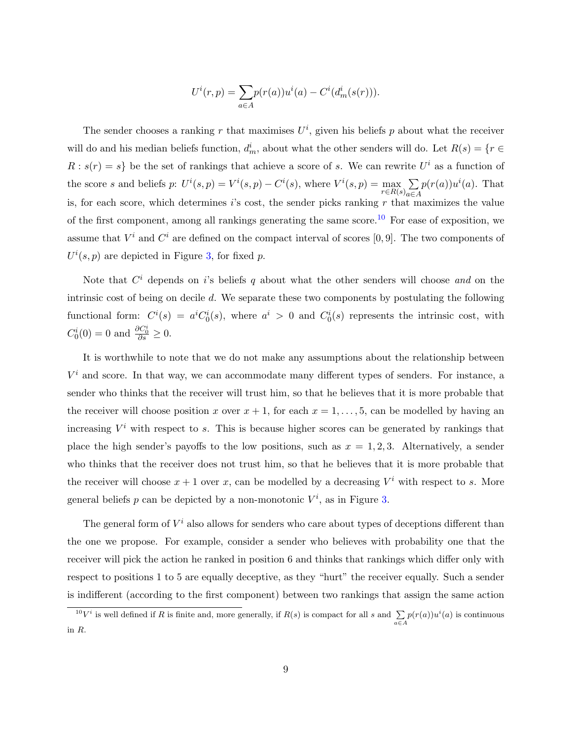$$
U^{i}(r,p) = \sum_{a \in A} p(r(a))u^{i}(a) - C^{i}(d_{m}^{i}(s(r))).
$$

The sender chooses a ranking r that maximises  $U^i$ , given his beliefs p about what the receiver will do and his median beliefs function,  $d_m^i$ , about what the other senders will do. Let  $R(s) = \{r \in$  $R : s(r) = s$  be the set of rankings that achieve a score of s. We can rewrite  $U<sup>i</sup>$  as a function of the score s and beliefs p:  $U^i(s, p) = V^i(s, p) - C^i(s)$ , where  $V^i(s, p) = \max_{r \in R(s)} \sum_{a \in R(r)} r^i(s)$ a∈A  $p(r(a))u^i(a)$ . That is, for each score, which determines  $i$ 's cost, the sender picks ranking r that maximizes the value of the first component, among all rankings generating the same score.<sup>[10](#page-11-0)</sup> For ease of exposition, we assume that  $V^i$  and  $C^i$  are defined on the compact interval of scores [0, 9]. The two components of  $U^{i}(s, p)$  are depicted in Figure [3,](#page-12-0) for fixed p.

Note that  $C^i$  depends on i's beliefs q about what the other senders will choose and on the intrinsic cost of being on decile d. We separate these two components by postulating the following functional form:  $C^i(s) = a^i C_0^i(s)$ , where  $a^i > 0$  and  $C_0^i(s)$  represents the intrinsic cost, with  $C_0^i(0) = 0$  and  $\frac{\partial C_0^i}{\partial s} \geq 0$ .

It is worthwhile to note that we do not make any assumptions about the relationship between  $V^i$  and score. In that way, we can accommodate many different types of senders. For instance, a sender who thinks that the receiver will trust him, so that he believes that it is more probable that the receiver will choose position x over  $x + 1$ , for each  $x = 1, \ldots, 5$ , can be modelled by having an increasing  $V^i$  with respect to s. This is because higher scores can be generated by rankings that place the high sender's payoffs to the low positions, such as  $x = 1, 2, 3$ . Alternatively, a sender who thinks that the receiver does not trust him, so that he believes that it is more probable that the receiver will choose  $x + 1$  over x, can be modelled by a decreasing  $V^i$  with respect to s. More general beliefs p can be depicted by a non-monotonic  $V^i$ , as in Figure [3.](#page-12-0)

The general form of  $V^i$  also allows for senders who care about types of deceptions different than the one we propose. For example, consider a sender who believes with probability one that the receiver will pick the action he ranked in position 6 and thinks that rankings which differ only with respect to positions 1 to 5 are equally deceptive, as they "hurt" the receiver equally. Such a sender is indifferent (according to the first component) between two rankings that assign the same action

<span id="page-11-0"></span><sup>&</sup>lt;sup>10</sup>V<sup>*i*</sup> is well defined if R is finite and, more generally, if  $R(s)$  is compact for all s and  $\sum_{a \in A} p(r(a))u^{i}(a)$  is continuous in R.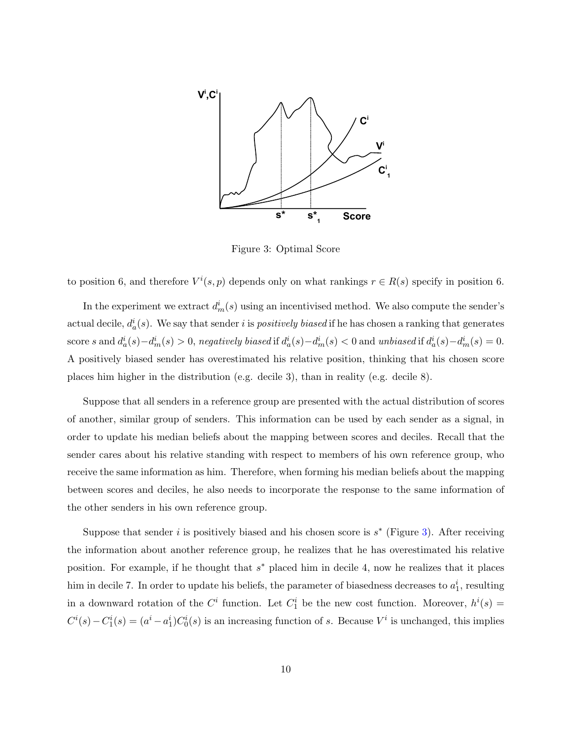<span id="page-12-0"></span>

Figure 3: Optimal Score

to position 6, and therefore  $V^i(s, p)$  depends only on what rankings  $r \in R(s)$  specify in position 6.

In the experiment we extract  $d_m^i(s)$  using an incentivised method. We also compute the sender's actual decile,  $d_a^i(s)$ . We say that sender i is *positively biased* if he has chosen a ranking that generates score s and  $d_a^i(s) - d_m^i(s) > 0$ , negatively biased if  $d_a^i(s) - d_m^i(s) < 0$  and unbiased if  $d_a^i(s) - d_m^i(s) = 0$ . A positively biased sender has overestimated his relative position, thinking that his chosen score places him higher in the distribution (e.g. decile 3), than in reality (e.g. decile 8).

Suppose that all senders in a reference group are presented with the actual distribution of scores of another, similar group of senders. This information can be used by each sender as a signal, in order to update his median beliefs about the mapping between scores and deciles. Recall that the sender cares about his relative standing with respect to members of his own reference group, who receive the same information as him. Therefore, when forming his median beliefs about the mapping between scores and deciles, he also needs to incorporate the response to the same information of the other senders in his own reference group.

Suppose that sender i is positively biased and his chosen score is  $s^*$  (Figure [3\)](#page-12-0). After receiving the information about another reference group, he realizes that he has overestimated his relative position. For example, if he thought that  $s^*$  placed him in decile 4, now he realizes that it places him in decile 7. In order to update his beliefs, the parameter of biasedness decreases to  $a_1^i$ , resulting in a downward rotation of the  $C<sup>i</sup>$  function. Let  $C<sup>i</sup>$  be the new cost function. Moreover,  $h<sup>i</sup>(s)$  =  $C^i(s) - C_1^i(s) = (a^i - a_1^i)C_0^i(s)$  is an increasing function of s. Because  $V^i$  is unchanged, this implies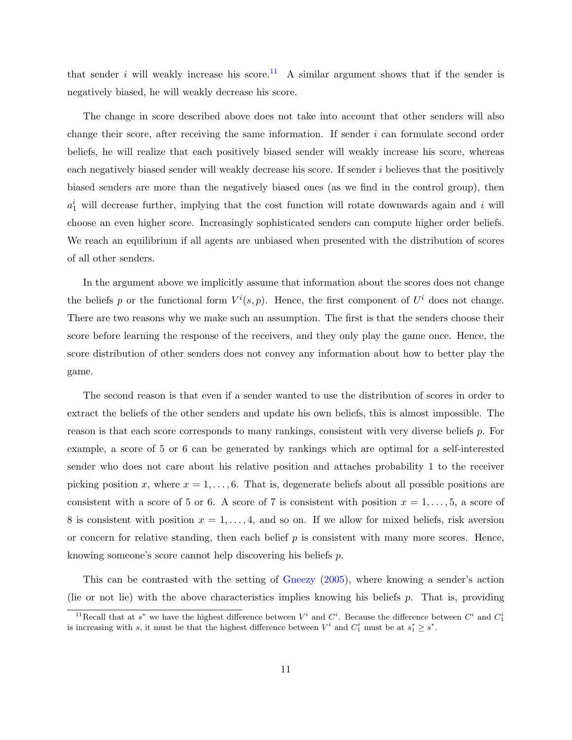that sender i will weakly increase his score.<sup>[11](#page-13-0)</sup> A similar argument shows that if the sender is negatively biased, he will weakly decrease his score.

The change in score described above does not take into account that other senders will also change their score, after receiving the same information. If sender i can formulate second order beliefs, he will realize that each positively biased sender will weakly increase his score, whereas each negatively biased sender will weakly decrease his score. If sender i believes that the positively biased senders are more than the negatively biased ones (as we find in the control group), then  $a_1^i$  will decrease further, implying that the cost function will rotate downwards again and i will choose an even higher score. Increasingly sophisticated senders can compute higher order beliefs. We reach an equilibrium if all agents are unbiased when presented with the distribution of scores of all other senders.

In the argument above we implicitly assume that information about the scores does not change the beliefs p or the functional form  $V^i(s, p)$ . Hence, the first component of  $U^i$  does not change. There are two reasons why we make such an assumption. The first is that the senders choose their score before learning the response of the receivers, and they only play the game once. Hence, the score distribution of other senders does not convey any information about how to better play the game.

The second reason is that even if a sender wanted to use the distribution of scores in order to extract the beliefs of the other senders and update his own beliefs, this is almost impossible. The reason is that each score corresponds to many rankings, consistent with very diverse beliefs p. For example, a score of 5 or 6 can be generated by rankings which are optimal for a self-interested sender who does not care about his relative position and attaches probability 1 to the receiver picking position x, where  $x = 1, \ldots, 6$ . That is, degenerate beliefs about all possible positions are consistent with a score of 5 or 6. A score of 7 is consistent with position  $x = 1, \ldots, 5$ , a score of 8 is consistent with position  $x = 1, \ldots, 4$ , and so on. If we allow for mixed beliefs, risk aversion or concern for relative standing, then each belief  $p$  is consistent with many more scores. Hence, knowing someone's score cannot help discovering his beliefs p.

This can be contrasted with the setting of [Gneezy](#page-24-0) [\(2005\)](#page-24-0), where knowing a sender's action (lie or not lie) with the above characteristics implies knowing his beliefs  $p$ . That is, providing

<span id="page-13-0"></span><sup>&</sup>lt;sup>11</sup>Recall that at s<sup>\*</sup> we have the highest difference between  $V^i$  and  $C^i$ . Because the difference between  $C^i$  and  $C^i$ is increasing with s, it must be that the highest difference between  $V^i$  and  $C_1^i$  must be at  $s_1^* \geq s^*$ .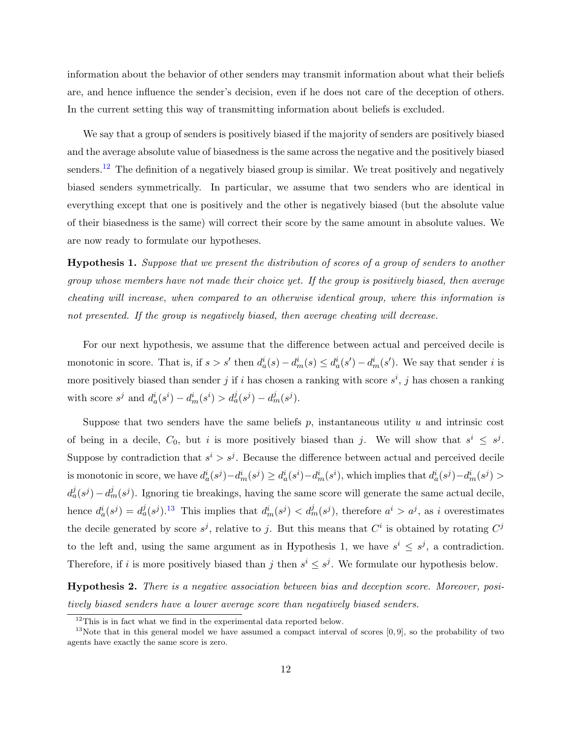information about the behavior of other senders may transmit information about what their beliefs are, and hence influence the sender's decision, even if he does not care of the deception of others. In the current setting this way of transmitting information about beliefs is excluded.

We say that a group of senders is positively biased if the majority of senders are positively biased and the average absolute value of biasedness is the same across the negative and the positively biased senders.<sup>[12](#page-14-0)</sup> The definition of a negatively biased group is similar. We treat positively and negatively biased senders symmetrically. In particular, we assume that two senders who are identical in everything except that one is positively and the other is negatively biased (but the absolute value of their biasedness is the same) will correct their score by the same amount in absolute values. We are now ready to formulate our hypotheses.

Hypothesis 1. Suppose that we present the distribution of scores of a group of senders to another group whose members have not made their choice yet. If the group is positively biased, then average cheating will increase, when compared to an otherwise identical group, where this information is not presented. If the group is negatively biased, then average cheating will decrease.

For our next hypothesis, we assume that the difference between actual and perceived decile is monotonic in score. That is, if  $s > s'$  then  $d_a^i(s) - d_m^i(s) \leq d_a^i(s') - d_m^i(s')$ . We say that sender i is more positively biased than sender j if i has chosen a ranking with score  $s^i$ , j has chosen a ranking with score  $s^j$  and  $d_a^i(s^i) - d_m^i(s^i) > d_a^j(s^j) - d_m^j(s^j)$ .

Suppose that two senders have the same beliefs  $p$ , instantaneous utility  $u$  and intrinsic cost of being in a decile,  $C_0$ , but i is more positively biased than j. We will show that  $s^i \leq s^j$ . Suppose by contradiction that  $s^i > s^j$ . Because the difference between actual and perceived decile is monotonic in score, we have  $d_a^i(s^j) - d_m^i(s^j) \geq d_a^i(s^i) - d_m^i(s^i)$ , which implies that  $d_a^i(s^j) - d_m^i(s^j) >$  $d_a^j(s^j) - d_m^j(s^j)$ . Ignoring tie breakings, having the same score will generate the same actual decile, hence  $d_a^i(s^j) = d_a^j(s^j)$ .<sup>[13](#page-14-1)</sup> This implies that  $d_m^i(s^j) < d_m^j(s^j)$ , therefore  $a^i > a^j$ , as i overestimates the decile generated by score  $s^j$ , relative to j. But this means that  $C^i$  is obtained by rotating  $C^j$ to the left and, using the same argument as in Hypothesis 1, we have  $s^i \leq s^j$ , a contradiction. Therefore, if i is more positively biased than j then  $s^i \leq s^j$ . We formulate our hypothesis below.

Hypothesis 2. There is a negative association between bias and deception score. Moreover, positively biased senders have a lower average score than negatively biased senders.

<span id="page-14-1"></span><span id="page-14-0"></span> $12$ This is in fact what we find in the experimental data reported below.

 $13$ Note that in this general model we have assumed a compact interval of scores  $[0, 9]$ , so the probability of two agents have exactly the same score is zero.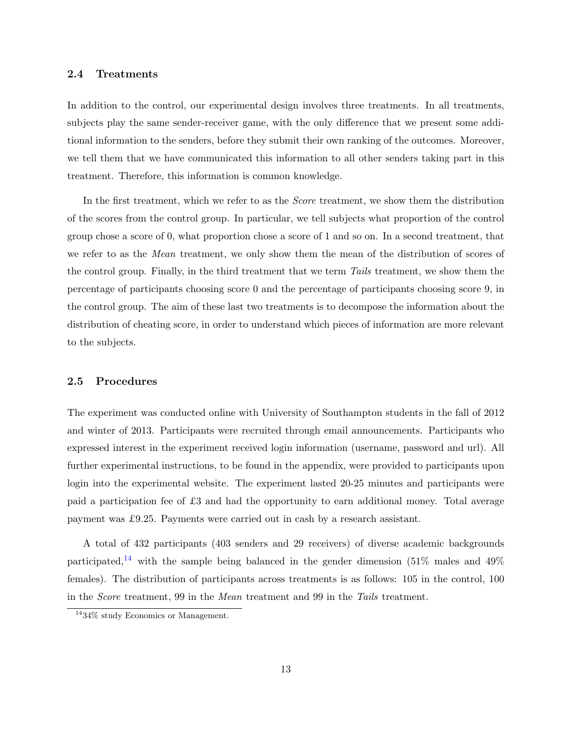#### 2.4 Treatments

In addition to the control, our experimental design involves three treatments. In all treatments, subjects play the same sender-receiver game, with the only difference that we present some additional information to the senders, before they submit their own ranking of the outcomes. Moreover, we tell them that we have communicated this information to all other senders taking part in this treatment. Therefore, this information is common knowledge.

In the first treatment, which we refer to as the *Score* treatment, we show them the distribution of the scores from the control group. In particular, we tell subjects what proportion of the control group chose a score of 0, what proportion chose a score of 1 and so on. In a second treatment, that we refer to as the *Mean* treatment, we only show them the mean of the distribution of scores of the control group. Finally, in the third treatment that we term Tails treatment, we show them the percentage of participants choosing score 0 and the percentage of participants choosing score 9, in the control group. The aim of these last two treatments is to decompose the information about the distribution of cheating score, in order to understand which pieces of information are more relevant to the subjects.

#### 2.5 Procedures

The experiment was conducted online with University of Southampton students in the fall of 2012 and winter of 2013. Participants were recruited through email announcements. Participants who expressed interest in the experiment received login information (username, password and url). All further experimental instructions, to be found in the appendix, were provided to participants upon login into the experimental website. The experiment lasted 20-25 minutes and participants were paid a participation fee of £3 and had the opportunity to earn additional money. Total average payment was £9.25. Payments were carried out in cash by a research assistant.

A total of 432 participants (403 senders and 29 receivers) of diverse academic backgrounds participated,<sup>[14](#page-15-0)</sup> with the sample being balanced in the gender dimension (51\%) males and 49\% females). The distribution of participants across treatments is as follows: 105 in the control, 100 in the Score treatment, 99 in the Mean treatment and 99 in the Tails treatment.

<span id="page-15-0"></span><sup>14</sup>34% study Economics or Management.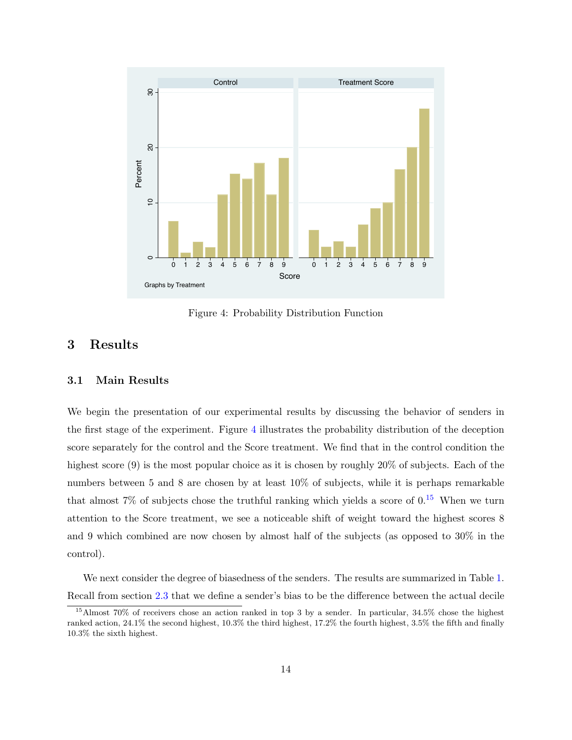<span id="page-16-1"></span>

Figure 4: Probability Distribution Function

## <span id="page-16-0"></span>3 Results

#### 3.1 Main Results

We begin the presentation of our experimental results by discussing the behavior of senders in the first stage of the experiment. Figure [4](#page-16-1) illustrates the probability distribution of the deception score separately for the control and the Score treatment. We find that in the control condition the highest score (9) is the most popular choice as it is chosen by roughly 20% of subjects. Each of the numbers between 5 and 8 are chosen by at least 10% of subjects, while it is perhaps remarkable that almost 7% of subjects chose the truthful ranking which yields a score of  $0.15$  $0.15$  When we turn attention to the Score treatment, we see a noticeable shift of weight toward the highest scores 8 and 9 which combined are now chosen by almost half of the subjects (as opposed to 30% in the control).

We next consider the degree of biasedness of the senders. The results are summarized in Table [1.](#page-17-0) Recall from section [2.3](#page-9-0) that we define a sender's bias to be the difference between the actual decile

<span id="page-16-2"></span><sup>15</sup>Almost 70% of receivers chose an action ranked in top 3 by a sender. In particular, 34.5% chose the highest ranked action, 24.1% the second highest, 10.3% the third highest, 17.2% the fourth highest, 3.5% the fifth and finally 10.3% the sixth highest.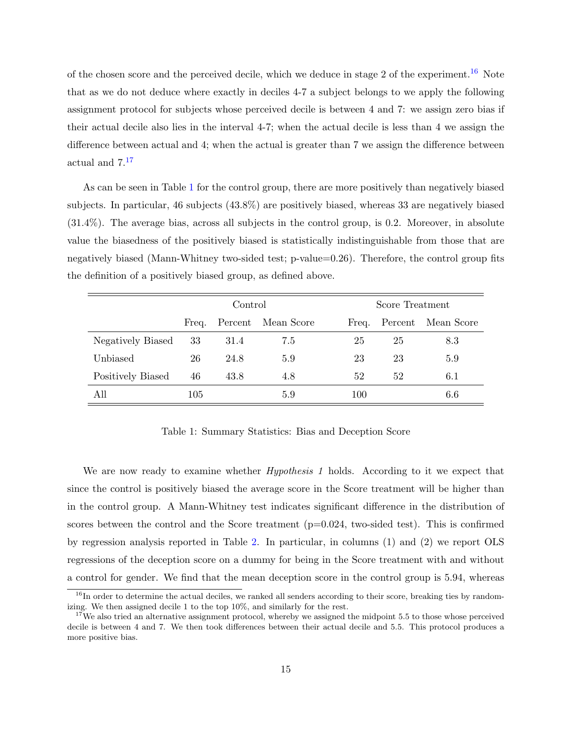of the chosen score and the perceived decile, which we deduce in stage 2 of the experiment.<sup>[16](#page-17-1)</sup> Note that as we do not deduce where exactly in deciles 4-7 a subject belongs to we apply the following assignment protocol for subjects whose perceived decile is between 4 and 7: we assign zero bias if their actual decile also lies in the interval 4-7; when the actual decile is less than 4 we assign the difference between actual and 4; when the actual is greater than 7 we assign the difference between actual and 7.[17](#page-17-2)

As can be seen in Table [1](#page-17-0) for the control group, there are more positively than negatively biased subjects. In particular, 46 subjects (43.8%) are positively biased, whereas 33 are negatively biased (31.4%). The average bias, across all subjects in the control group, is 0.2. Moreover, in absolute value the biasedness of the positively biased is statistically indistinguishable from those that are negatively biased (Mann-Whitney two-sided test; p-value=0.26). Therefore, the control group fits the definition of a positively biased group, as defined above.

<span id="page-17-0"></span>

|                   | Control |      |                    |       | Score Treatment |            |  |
|-------------------|---------|------|--------------------|-------|-----------------|------------|--|
|                   | Freq.   |      | Percent Mean Score | Freq. | Percent         | Mean Score |  |
| Negatively Biased | 33      | 31.4 | 7.5                | 25    | 25              | 8.3        |  |
| Unbiased          | 26      | 24.8 | 5.9                | 23    | 23              | 5.9        |  |
| Positively Biased | 46      | 43.8 | 4.8                | 52    | 52              | 6.1        |  |
| All               | 105     |      | 5.9                | 100   |                 | 6.6        |  |

Table 1: Summary Statistics: Bias and Deception Score

We are now ready to examine whether *Hypothesis 1* holds. According to it we expect that since the control is positively biased the average score in the Score treatment will be higher than in the control group. A Mann-Whitney test indicates significant difference in the distribution of scores between the control and the Score treatment  $(p=0.024, w\text{e}-s\text{.})$ . This is confirmed by regression analysis reported in Table [2.](#page-18-0) In particular, in columns (1) and (2) we report OLS regressions of the deception score on a dummy for being in the Score treatment with and without a control for gender. We find that the mean deception score in the control group is 5.94, whereas

<span id="page-17-1"></span> $16$ In order to determine the actual deciles, we ranked all senders according to their score, breaking ties by randomizing. We then assigned decile 1 to the top 10%, and similarly for the rest.

<span id="page-17-2"></span> $17$ We also tried an alternative assignment protocol, whereby we assigned the midpoint 5.5 to those whose perceived decile is between 4 and 7. We then took differences between their actual decile and 5.5. This protocol produces a more positive bias.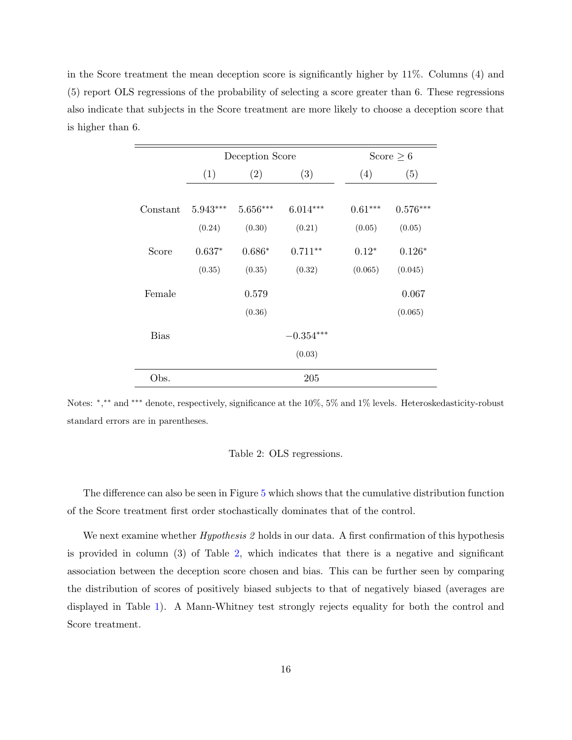<span id="page-18-0"></span>in the Score treatment the mean deception score is significantly higher by 11%. Columns (4) and (5) report OLS regressions of the probability of selecting a score greater than 6. These regressions also indicate that subjects in the Score treatment are more likely to choose a deception score that is higher than 6.

 $\frac{1}{2}$ 

|             | Deception Score |            |             |           | Score $\geq 6$ |
|-------------|-----------------|------------|-------------|-----------|----------------|
|             | (1)             | (2)        | (3)         | (4)       | (5)            |
| Constant    | $5.943***$      | $5.656***$ | $6.014***$  | $0.61***$ | $0.576***$     |
|             | (0.24)          | (0.30)     | (0.21)      | (0.05)    | (0.05)         |
| Score       | $0.637*$        | $0.686*$   | $0.711**$   | $0.12*$   | $0.126*$       |
|             | (0.35)          | (0.35)     | (0.32)      | (0.065)   | (0.045)        |
| Female      |                 | 0.579      |             |           | 0.067          |
|             |                 | (0.36)     |             |           | (0.065)        |
| <b>Bias</b> |                 |            | $-0.354***$ |           |                |
|             |                 |            | (0.03)      |           |                |
| Obs.        |                 |            | 205         |           |                |

Notes: \*,\*\* and \*\*\* denote, respectively, significance at the 10%, 5% and 1% levels. Heteroskedasticity-robust standard errors are in parentheses.

#### Table 2: OLS regressions.

The difference can also be seen in Figure [5](#page-19-0) which shows that the cumulative distribution function of the Score treatment first order stochastically dominates that of the control.

We next examine whether *Hypothesis* 2 holds in our data. A first confirmation of this hypothesis is provided in column (3) of Table [2,](#page-18-0) which indicates that there is a negative and significant association between the deception score chosen and bias. This can be further seen by comparing the distribution of scores of positively biased subjects to that of negatively biased (averages are displayed in Table [1\)](#page-17-0). A Mann-Whitney test strongly rejects equality for both the control and Score treatment.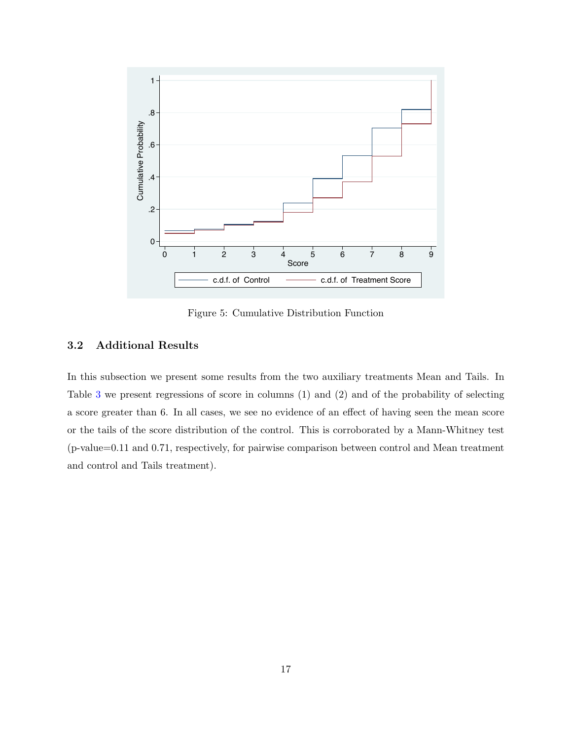<span id="page-19-0"></span>

Figure 5: Cumulative Distribution Function

### 3.2 Additional Results

In this subsection we present some results from the two auxiliary treatments Mean and Tails. In Table [3](#page-20-0) we present regressions of score in columns (1) and (2) and of the probability of selecting a score greater than 6. In all cases, we see no evidence of an effect of having seen the mean score or the tails of the score distribution of the control. This is corroborated by a Mann-Whitney test (p-value=0.11 and 0.71, respectively, for pairwise comparison between control and Mean treatment and control and Tails treatment).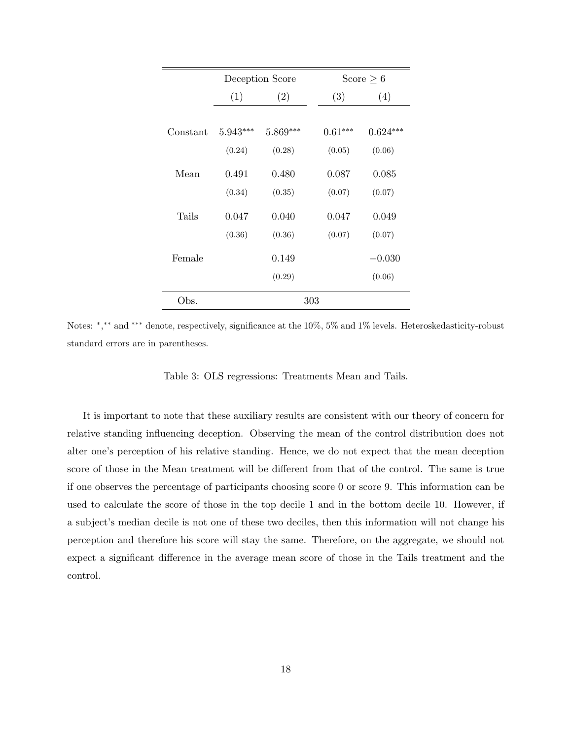<span id="page-20-0"></span>

|          |            | Deception Score | Score $\geq 6$ |            |
|----------|------------|-----------------|----------------|------------|
|          | (1)        | (2)             | (3)            | (4)        |
|          |            |                 |                |            |
| Constant | $5.943***$ | $5.869***$      | $0.61***$      | $0.624***$ |
|          | (0.24)     | (0.28)          | (0.05)         | (0.06)     |
| Mean     | 0.491      | 0.480           | 0.087          | 0.085      |
|          | (0.34)     | (0.35)          | (0.07)         | (0.07)     |
| Tails    | 0.047      | 0.040           | 0.047          | 0.049      |
|          | (0.36)     | (0.36)          | (0.07)         | (0.07)     |
| Female   |            | 0.149           |                | $-0.030$   |
|          |            | (0.29)          |                | (0.06)     |
| Obs.     |            |                 | 303            |            |

Notes: \*,\*\* and \*\*\* denote, respectively, significance at the 10%, 5% and 1% levels. Heteroskedasticity-robust standard errors are in parentheses.

Table 3: OLS regressions: Treatments Mean and Tails.

It is important to note that these auxiliary results are consistent with our theory of concern for relative standing influencing deception. Observing the mean of the control distribution does not alter one's perception of his relative standing. Hence, we do not expect that the mean deception score of those in the Mean treatment will be different from that of the control. The same is true if one observes the percentage of participants choosing score 0 or score 9. This information can be used to calculate the score of those in the top decile 1 and in the bottom decile 10. However, if a subject's median decile is not one of these two deciles, then this information will not change his perception and therefore his score will stay the same. Therefore, on the aggregate, we should not expect a significant difference in the average mean score of those in the Tails treatment and the control.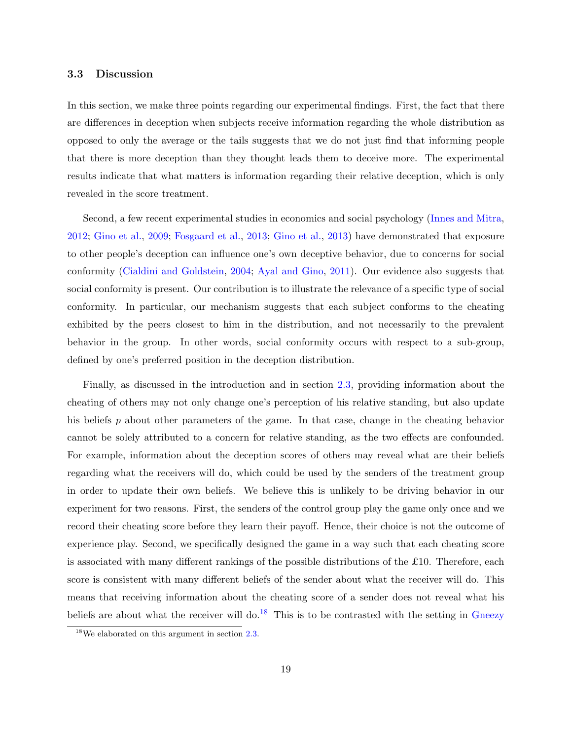#### 3.3 Discussion

In this section, we make three points regarding our experimental findings. First, the fact that there are differences in deception when subjects receive information regarding the whole distribution as opposed to only the average or the tails suggests that we do not just find that informing people that there is more deception than they thought leads them to deceive more. The experimental results indicate that what matters is information regarding their relative deception, which is only revealed in the score treatment.

Second, a few recent experimental studies in economics and social psychology [\(Innes and Mitra,](#page-25-5) [2012;](#page-25-5) [Gino et al.,](#page-24-9) [2009;](#page-24-9) [Fosgaard et al.,](#page-24-10) [2013;](#page-24-10) [Gino et al.,](#page-24-11) [2013\)](#page-24-11) have demonstrated that exposure to other people's deception can influence one's own deceptive behavior, due to concerns for social conformity [\(Cialdini and Goldstein,](#page-23-10) [2004;](#page-23-10) [Ayal and Gino,](#page-23-11) [2011\)](#page-23-11). Our evidence also suggests that social conformity is present. Our contribution is to illustrate the relevance of a specific type of social conformity. In particular, our mechanism suggests that each subject conforms to the cheating exhibited by the peers closest to him in the distribution, and not necessarily to the prevalent behavior in the group. In other words, social conformity occurs with respect to a sub-group, defined by one's preferred position in the deception distribution.

Finally, as discussed in the introduction and in section [2.3,](#page-9-0) providing information about the cheating of others may not only change one's perception of his relative standing, but also update his beliefs  $p$  about other parameters of the game. In that case, change in the cheating behavior cannot be solely attributed to a concern for relative standing, as the two effects are confounded. For example, information about the deception scores of others may reveal what are their beliefs regarding what the receivers will do, which could be used by the senders of the treatment group in order to update their own beliefs. We believe this is unlikely to be driving behavior in our experiment for two reasons. First, the senders of the control group play the game only once and we record their cheating score before they learn their payoff. Hence, their choice is not the outcome of experience play. Second, we specifically designed the game in a way such that each cheating score is associated with many different rankings of the possible distributions of the £10. Therefore, each score is consistent with many different beliefs of the sender about what the receiver will do. This means that receiving information about the cheating score of a sender does not reveal what his beliefs are about what the receiver will do.<sup>[18](#page-21-0)</sup> This is to be contrasted with the setting in [Gneezy](#page-24-0)

<span id="page-21-0"></span><sup>18</sup>We elaborated on this argument in section [2.3.](#page-9-0)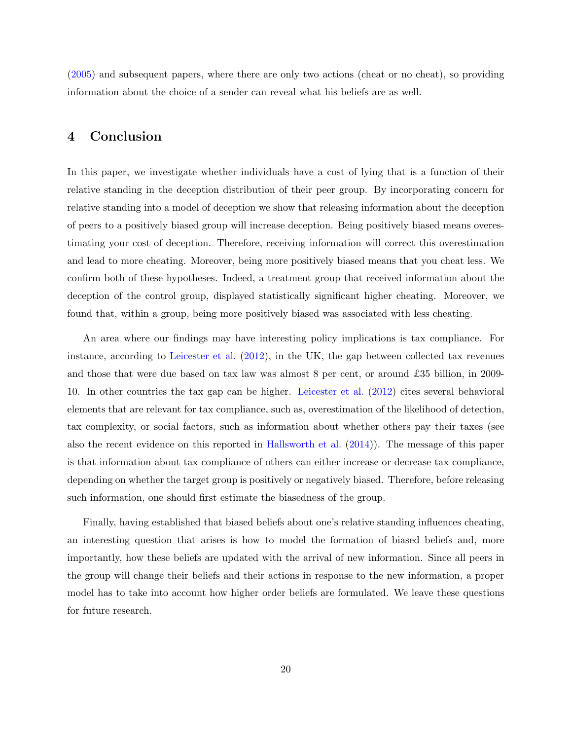[\(2005\)](#page-24-0) and subsequent papers, where there are only two actions (cheat or no cheat), so providing information about the choice of a sender can reveal what his beliefs are as well.

## <span id="page-22-0"></span>4 Conclusion

In this paper, we investigate whether individuals have a cost of lying that is a function of their relative standing in the deception distribution of their peer group. By incorporating concern for relative standing into a model of deception we show that releasing information about the deception of peers to a positively biased group will increase deception. Being positively biased means overestimating your cost of deception. Therefore, receiving information will correct this overestimation and lead to more cheating. Moreover, being more positively biased means that you cheat less. We confirm both of these hypotheses. Indeed, a treatment group that received information about the deception of the control group, displayed statistically significant higher cheating. Moreover, we found that, within a group, being more positively biased was associated with less cheating.

An area where our findings may have interesting policy implications is tax compliance. For instance, according to [Leicester et al.](#page-25-8) [\(2012\)](#page-25-8), in the UK, the gap between collected tax revenues and those that were due based on tax law was almost 8 per cent, or around £35 billion, in 2009- 10. In other countries the tax gap can be higher. [Leicester et al.](#page-25-8) [\(2012\)](#page-25-8) cites several behavioral elements that are relevant for tax compliance, such as, overestimation of the likelihood of detection, tax complexity, or social factors, such as information about whether others pay their taxes (see also the recent evidence on this reported in [Hallsworth et al.](#page-24-12) [\(2014\)](#page-24-12)). The message of this paper is that information about tax compliance of others can either increase or decrease tax compliance, depending on whether the target group is positively or negatively biased. Therefore, before releasing such information, one should first estimate the biasedness of the group.

Finally, having established that biased beliefs about one's relative standing influences cheating, an interesting question that arises is how to model the formation of biased beliefs and, more importantly, how these beliefs are updated with the arrival of new information. Since all peers in the group will change their beliefs and their actions in response to the new information, a proper model has to take into account how higher order beliefs are formulated. We leave these questions for future research.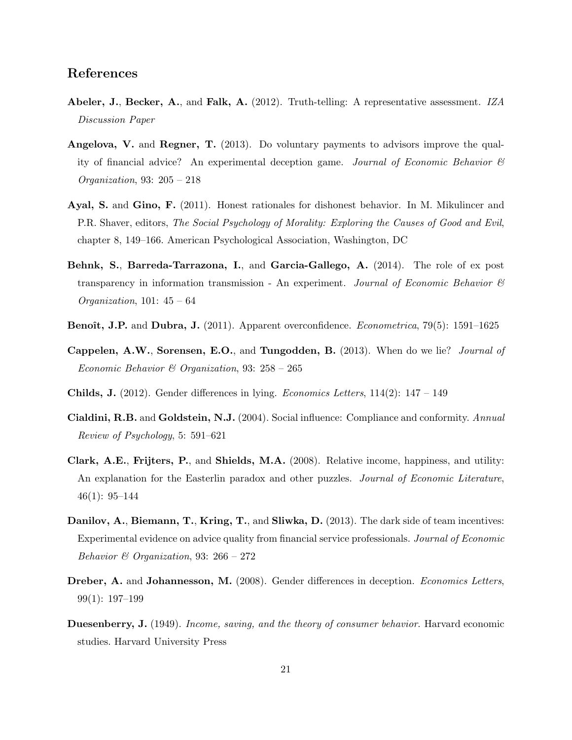## References

- <span id="page-23-0"></span>Abeler, J., Becker, A., and Falk, A. (2012). Truth-telling: A representative assessment. IZA Discussion Paper
- <span id="page-23-3"></span>Angelova, V. and Regner, T. (2013). Do voluntary payments to advisors improve the quality of financial advice? An experimental deception game. Journal of Economic Behavior  $\mathcal{C}$ Organization, 93: 205 – 218
- <span id="page-23-11"></span>Ayal, S. and Gino, F. (2011). Honest rationales for dishonest behavior. In M. Mikulincer and P.R. Shaver, editors, The Social Psychology of Morality: Exploring the Causes of Good and Evil, chapter 8, 149–166. American Psychological Association, Washington, DC
- <span id="page-23-6"></span>Behnk, S., Barreda-Tarrazona, I., and Garcia-Gallego, A. (2014). The role of ex post transparency in information transmission - An experiment. Journal of Economic Behavior  $\mathcal{C}$ *Organization*, 101:  $45 - 64$
- <span id="page-23-9"></span>Benoît, J.P. and Dubra, J. (2011). Apparent overconfidence. *Econometrica*, 79(5): 1591–1625
- <span id="page-23-4"></span>Cappelen, A.W., Sorensen, E.O., and Tungodden, B. (2013). When do we lie? Journal of Economic Behavior & Organization, 93:  $258 - 265$
- <span id="page-23-2"></span>Childs, J. (2012). Gender differences in lying. Economics Letters, 114(2): 147 – 149
- <span id="page-23-10"></span>Cialdini, R.B. and Goldstein, N.J. (2004). Social influence: Compliance and conformity. Annual Review of Psychology, 5: 591–621
- <span id="page-23-8"></span>Clark, A.E., Frijters, P., and Shields, M.A. (2008). Relative income, happiness, and utility: An explanation for the Easterlin paradox and other puzzles. Journal of Economic Literature, 46(1): 95–144
- <span id="page-23-5"></span>Danilov, A., Biemann, T., Kring, T., and Sliwka, D. (2013). The dark side of team incentives: Experimental evidence on advice quality from financial service professionals. Journal of Economic Behavior  $\mathcal B$  Organization, 93: 266 – 272
- <span id="page-23-1"></span>Dreber, A. and Johannesson, M. (2008). Gender differences in deception. Economics Letters, 99(1): 197–199
- <span id="page-23-7"></span>Duesenberry, J. (1949). *Income, saving, and the theory of consumer behavior*. Harvard economic studies. Harvard University Press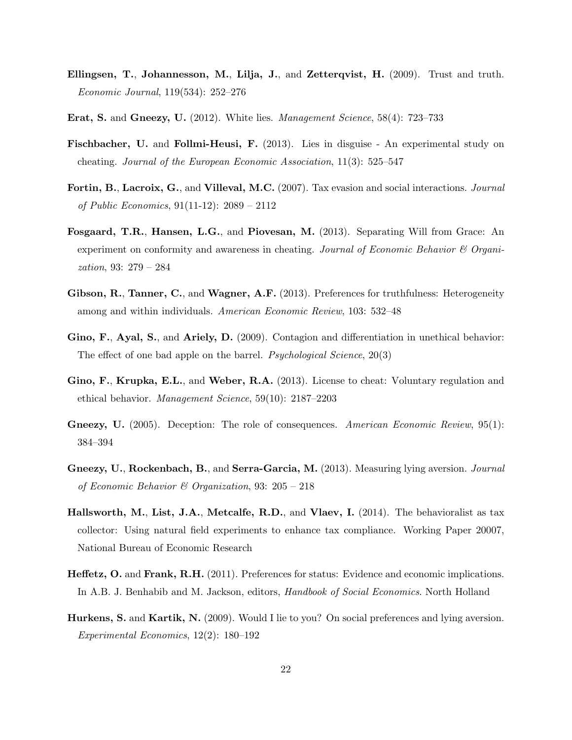- <span id="page-24-3"></span>Ellingsen, T., Johannesson, M., Lilja, J., and Zetterqvist, H. (2009). Trust and truth. Economic Journal, 119(534): 252–276
- <span id="page-24-5"></span>Erat, S. and Gneezy, U. (2012). White lies. Management Science, 58(4): 723–733
- <span id="page-24-6"></span>Fischbacher, U. and Follmi-Heusi, F. (2013). Lies in disguise - An experimental study on cheating. Journal of the European Economic Association, 11(3): 525–547
- <span id="page-24-7"></span>Fortin, B., Lacroix, G., and Villeval, M.C. (2007). Tax evasion and social interactions. Journal of Public Economics, 91(11-12): 2089 – 2112
- <span id="page-24-10"></span>Fosgaard, T.R., Hansen, L.G., and Piovesan, M. (2013). Separating Will from Grace: An experiment on conformity and awareness in cheating. Journal of Economic Behavior  $\mathcal C$  Organization, 93: 279 – 284
- <span id="page-24-2"></span>Gibson, R., Tanner, C., and Wagner, A.F. (2013). Preferences for truthfulness: Heterogeneity among and within individuals. American Economic Review, 103: 532–48
- <span id="page-24-9"></span>Gino, F., Ayal, S., and Ariely, D. (2009). Contagion and differentiation in unethical behavior: The effect of one bad apple on the barrel. *Psychological Science*, 20(3)
- <span id="page-24-11"></span>Gino, F., Krupka, E.L., and Weber, R.A. (2013). License to cheat: Voluntary regulation and ethical behavior. Management Science, 59(10): 2187–2203
- <span id="page-24-0"></span>Gneezy, U. (2005). Deception: The role of consequences. American Economic Review, 95(1): 384–394
- <span id="page-24-1"></span>Gneezy, U., Rockenbach, B., and Serra-Garcia, M. (2013). Measuring lying aversion. Journal of Economic Behavior & Organization, 93: 205 – 218
- <span id="page-24-12"></span>Hallsworth, M., List, J.A., Metcalfe, R.D., and Vlaev, I. (2014). The behavioralist as tax collector: Using natural field experiments to enhance tax compliance. Working Paper 20007, National Bureau of Economic Research
- <span id="page-24-8"></span>Heffetz, O. and Frank, R.H. (2011). Preferences for status: Evidence and economic implications. In A.B. J. Benhabib and M. Jackson, editors, *Handbook of Social Economics*. North Holland
- <span id="page-24-4"></span>Hurkens, S. and Kartik, N. (2009). Would I lie to you? On social preferences and lying aversion. Experimental Economics, 12(2): 180–192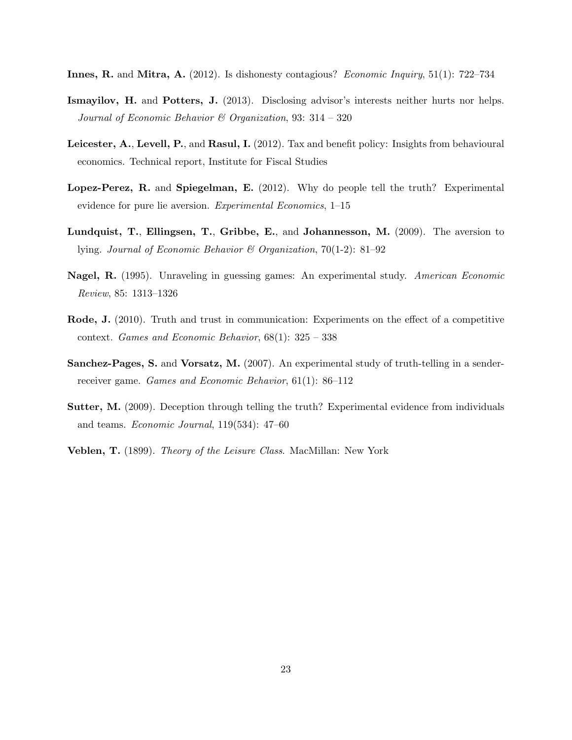- <span id="page-25-5"></span>Innes, R. and Mitra, A. (2012). Is dishonesty contagious? Economic Inquiry, 51(1): 722–734
- <span id="page-25-6"></span>Ismayilov, H. and Potters, J. (2013). Disclosing advisor's interests neither hurts nor helps. Journal of Economic Behavior  $\mathcal B$  Organization, 93: 314 – 320
- <span id="page-25-8"></span>Leicester, A., Levell, P., and Rasul, I. (2012). Tax and benefit policy: Insights from behavioural economics. Technical report, Institute for Fiscal Studies
- <span id="page-25-1"></span>Lopez-Perez, R. and Spiegelman, E. (2012). Why do people tell the truth? Experimental evidence for pure lie aversion. Experimental Economics, 1–15
- <span id="page-25-0"></span>Lundquist, T., Ellingsen, T., Gribbe, E., and Johannesson, M. (2009). The aversion to lying. Journal of Economic Behavior & Organization, 70(1-2): 81–92
- Nagel, R. (1995). Unraveling in guessing games: An experimental study. American Economic Review, 85: 1313–1326
- <span id="page-25-4"></span>Rode, J. (2010). Truth and trust in communication: Experiments on the effect of a competitive context. Games and Economic Behavior, 68(1): 325 – 338
- <span id="page-25-2"></span>Sanchez-Pages, S. and Vorsatz, M. (2007). An experimental study of truth-telling in a senderreceiver game. Games and Economic Behavior, 61(1): 86–112
- <span id="page-25-3"></span>Sutter, M. (2009). Deception through telling the truth? Experimental evidence from individuals and teams. Economic Journal, 119(534): 47–60
- <span id="page-25-7"></span>**Veblen, T.** (1899). *Theory of the Leisure Class.* MacMillan: New York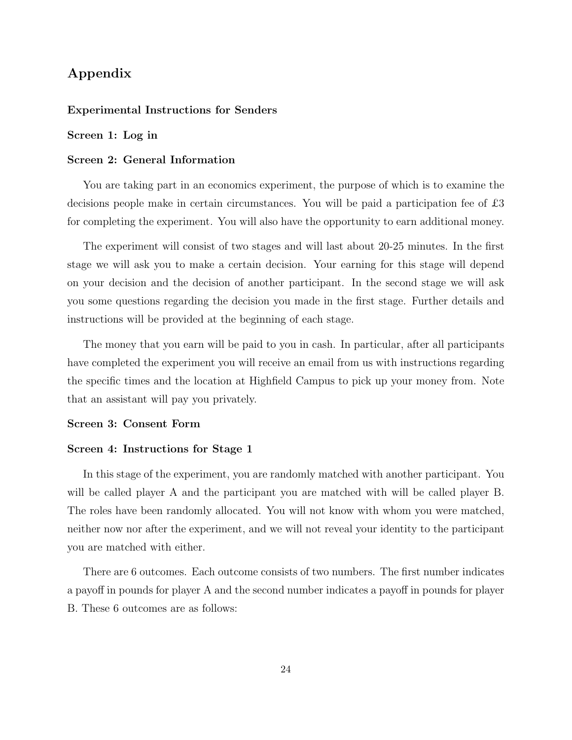## Appendix

#### Experimental Instructions for Senders

#### Screen 1: Log in

#### Screen 2: General Information

You are taking part in an economics experiment, the purpose of which is to examine the decisions people make in certain circumstances. You will be paid a participation fee of £3 for completing the experiment. You will also have the opportunity to earn additional money.

The experiment will consist of two stages and will last about 20-25 minutes. In the first stage we will ask you to make a certain decision. Your earning for this stage will depend on your decision and the decision of another participant. In the second stage we will ask you some questions regarding the decision you made in the first stage. Further details and instructions will be provided at the beginning of each stage.

The money that you earn will be paid to you in cash. In particular, after all participants have completed the experiment you will receive an email from us with instructions regarding the specific times and the location at Highfield Campus to pick up your money from. Note that an assistant will pay you privately.

#### Screen 3: Consent Form

#### Screen 4: Instructions for Stage 1

In this stage of the experiment, you are randomly matched with another participant. You will be called player A and the participant you are matched with will be called player B. The roles have been randomly allocated. You will not know with whom you were matched, neither now nor after the experiment, and we will not reveal your identity to the participant you are matched with either.

There are 6 outcomes. Each outcome consists of two numbers. The first number indicates a payoff in pounds for player A and the second number indicates a payoff in pounds for player B. These 6 outcomes are as follows: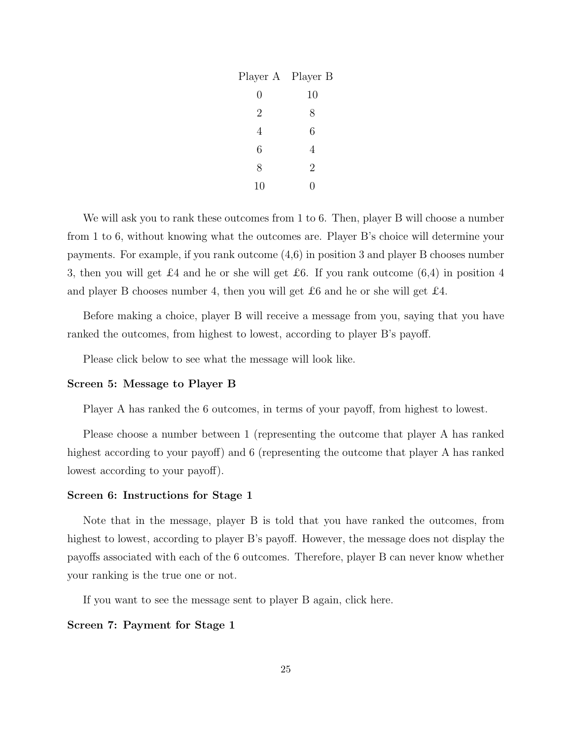| Player A Player B |                |
|-------------------|----------------|
| 0                 | 10             |
| $\overline{2}$    | 8              |
| 4                 | 6              |
| 6                 | 4              |
| 8                 | $\overline{2}$ |
| 10                |                |

We will ask you to rank these outcomes from 1 to 6. Then, player B will choose a number from 1 to 6, without knowing what the outcomes are. Player B's choice will determine your payments. For example, if you rank outcome (4,6) in position 3 and player B chooses number 3, then you will get £4 and he or she will get £6. If you rank outcome  $(6,4)$  in position 4 and player B chooses number 4, then you will get £6 and he or she will get £4.

Before making a choice, player B will receive a message from you, saying that you have ranked the outcomes, from highest to lowest, according to player B's payoff.

Please click below to see what the message will look like.

#### Screen 5: Message to Player B

Player A has ranked the 6 outcomes, in terms of your payoff, from highest to lowest.

Please choose a number between 1 (representing the outcome that player A has ranked highest according to your payoff) and 6 (representing the outcome that player A has ranked lowest according to your payoff).

#### Screen 6: Instructions for Stage 1

Note that in the message, player B is told that you have ranked the outcomes, from highest to lowest, according to player B's payoff. However, the message does not display the payoffs associated with each of the 6 outcomes. Therefore, player B can never know whether your ranking is the true one or not.

If you want to see the message sent to player B again, click here.

Screen 7: Payment for Stage 1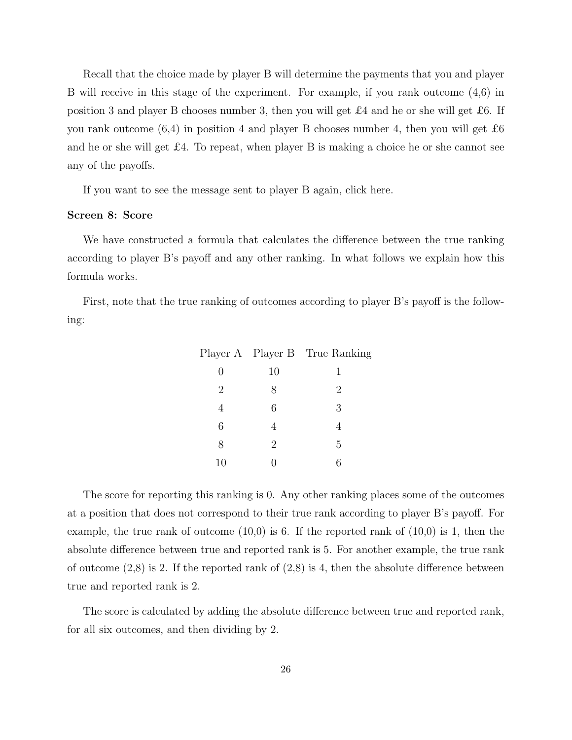Recall that the choice made by player B will determine the payments that you and player B will receive in this stage of the experiment. For example, if you rank outcome (4,6) in position 3 and player B chooses number 3, then you will get £4 and he or she will get £6. If you rank outcome  $(6,4)$  in position 4 and player B chooses number 4, then you will get  $\pounds 6$ and he or she will get  $\pounds$ 4. To repeat, when player B is making a choice he or she cannot see any of the payoffs.

If you want to see the message sent to player B again, click here.

#### Screen 8: Score

We have constructed a formula that calculates the difference between the true ranking according to player B's payoff and any other ranking. In what follows we explain how this formula works.

First, note that the true ranking of outcomes according to player B's payoff is the following:

|                |    | Player A Player B True Ranking |
|----------------|----|--------------------------------|
| 0              | 10 |                                |
| $\overline{2}$ | 8  | 2                              |
| 4              | 6  | 3                              |
| 6              | 4  | 4                              |
| 8              | 2  | 5                              |
| 10             |    |                                |

The score for reporting this ranking is 0. Any other ranking places some of the outcomes at a position that does not correspond to their true rank according to player B's payoff. For example, the true rank of outcome  $(10,0)$  is 6. If the reported rank of  $(10,0)$  is 1, then the absolute difference between true and reported rank is 5. For another example, the true rank of outcome  $(2,8)$  is 2. If the reported rank of  $(2,8)$  is 4, then the absolute difference between true and reported rank is 2.

The score is calculated by adding the absolute difference between true and reported rank, for all six outcomes, and then dividing by 2.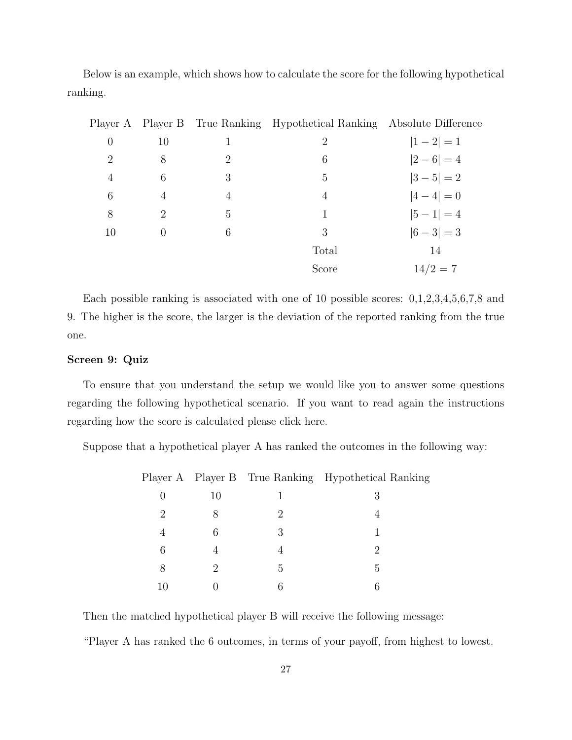Below is an example, which shows how to calculate the score for the following hypothetical ranking.

|                |                  |   | Player A Player B True Ranking Hypothetical Ranking Absolute Difference |               |
|----------------|------------------|---|-------------------------------------------------------------------------|---------------|
| $\overline{0}$ | 10               | L | 2                                                                       | $ 1-2 =1$     |
| $\overline{2}$ | 8                | 2 | 6                                                                       | $ 2-6 =4$     |
| $\overline{4}$ | 6                | 3 | 5                                                                       | $ 3-5 =2$     |
| 6              | 4                | 4 | $\overline{4}$                                                          | $ 4-4 =0$     |
| 8              | 2                | 5 | 1                                                                       | $ 5 - 1  = 4$ |
| 10             | $\left( \right)$ | 6 | 3                                                                       | $ 6-3 =3$     |
|                |                  |   | Total                                                                   | 14            |
|                |                  |   | Score                                                                   | $14/2 = 7$    |

Each possible ranking is associated with one of 10 possible scores: 0,1,2,3,4,5,6,7,8 and 9. The higher is the score, the larger is the deviation of the reported ranking from the true one.

#### Screen 9: Quiz

To ensure that you understand the setup we would like you to answer some questions regarding the following hypothetical scenario. If you want to read again the instructions regarding how the score is calculated please click here.

Suppose that a hypothetical player A has ranked the outcomes in the following way:

|    |    |               | Player A Player B True Ranking Hypothetical Ranking |
|----|----|---------------|-----------------------------------------------------|
|    | 10 |               | 3                                                   |
| 2  |    | $\mathcal{D}$ |                                                     |
| 4  | 6  | 3             |                                                     |
| 6  |    |               |                                                     |
| 8  | 2  | 5             | .5                                                  |
| 10 |    |               |                                                     |

Then the matched hypothetical player B will receive the following message:

"Player A has ranked the 6 outcomes, in terms of your payoff, from highest to lowest.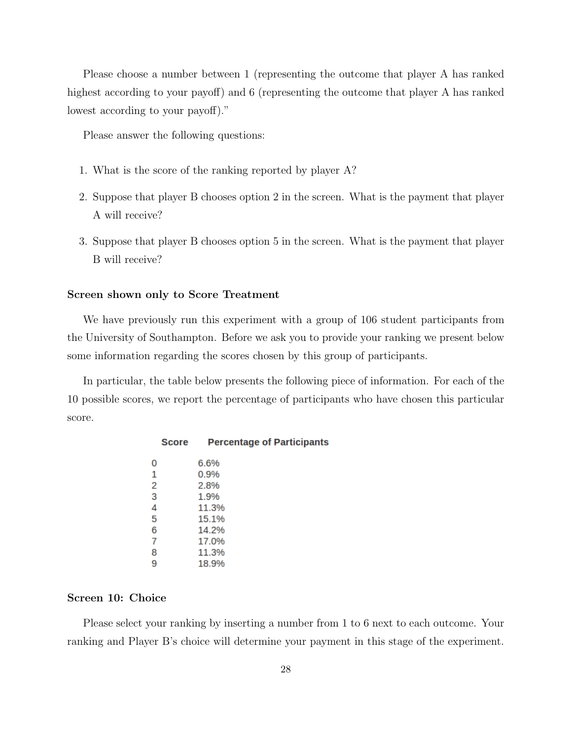Please choose a number between 1 (representing the outcome that player A has ranked highest according to your payoff) and 6 (representing the outcome that player A has ranked lowest according to your payoff)."

Please answer the following questions:

- 1. What is the score of the ranking reported by player A?
- 2. Suppose that player B chooses option 2 in the screen. What is the payment that player A will receive?
- 3. Suppose that player B chooses option 5 in the screen. What is the payment that player B will receive?

#### Screen shown only to Score Treatment

We have previously run this experiment with a group of 106 student participants from the University of Southampton. Before we ask you to provide your ranking we present below some information regarding the scores chosen by this group of participants.

In particular, the table below presents the following piece of information. For each of the 10 possible scores, we report the percentage of participants who have chosen this particular score.

| 0 | 6.6%  |
|---|-------|
| 1 | 0.9%  |
| 2 | 2.8%  |
| 3 | 1.9%  |
| 4 | 11.3% |
| 5 | 15.1% |
| 6 | 14.2% |
| 7 | 17.0% |
| 8 | 11.3% |
| 9 | 18.9% |
|   |       |

#### **Percentage of Participants Score**

#### Screen 10: Choice

Please select your ranking by inserting a number from 1 to 6 next to each outcome. Your ranking and Player B's choice will determine your payment in this stage of the experiment.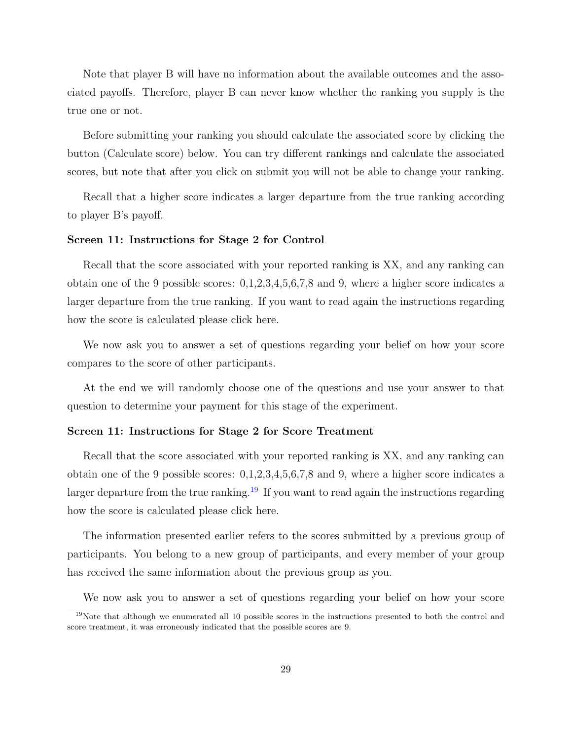Note that player B will have no information about the available outcomes and the associated payoffs. Therefore, player B can never know whether the ranking you supply is the true one or not.

Before submitting your ranking you should calculate the associated score by clicking the button (Calculate score) below. You can try different rankings and calculate the associated scores, but note that after you click on submit you will not be able to change your ranking.

Recall that a higher score indicates a larger departure from the true ranking according to player B's payoff.

#### Screen 11: Instructions for Stage 2 for Control

Recall that the score associated with your reported ranking is XX, and any ranking can obtain one of the 9 possible scores: 0,1,2,3,4,5,6,7,8 and 9, where a higher score indicates a larger departure from the true ranking. If you want to read again the instructions regarding how the score is calculated please click here.

We now ask you to answer a set of questions regarding your belief on how your score compares to the score of other participants.

At the end we will randomly choose one of the questions and use your answer to that question to determine your payment for this stage of the experiment.

#### Screen 11: Instructions for Stage 2 for Score Treatment

Recall that the score associated with your reported ranking is XX, and any ranking can obtain one of the 9 possible scores: 0,1,2,3,4,5,6,7,8 and 9, where a higher score indicates a larger departure from the true ranking.<sup>[19](#page-31-0)</sup> If you want to read again the instructions regarding how the score is calculated please click here.

The information presented earlier refers to the scores submitted by a previous group of participants. You belong to a new group of participants, and every member of your group has received the same information about the previous group as you.

<span id="page-31-0"></span>We now ask you to answer a set of questions regarding your belief on how your score

 $19$ Note that although we enumerated all 10 possible scores in the instructions presented to both the control and score treatment, it was erroneously indicated that the possible scores are 9.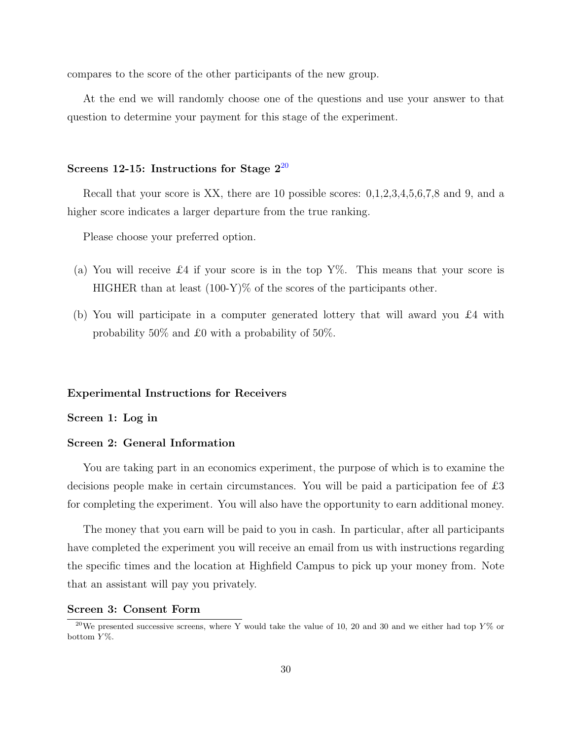compares to the score of the other participants of the new group.

At the end we will randomly choose one of the questions and use your answer to that question to determine your payment for this stage of the experiment.

#### Screens 12-15: Instructions for Stage  $2^{20}$  $2^{20}$  $2^{20}$

Recall that your score is XX, there are 10 possible scores:  $0,1,2,3,4,5,6,7,8$  and 9, and a higher score indicates a larger departure from the true ranking.

Please choose your preferred option.

- (a) You will receive £4 if your score is in the top  $Y\%$ . This means that your score is HIGHER than at least  $(100-Y)\%$  of the scores of the participants other.
- (b) You will participate in a computer generated lottery that will award you £4 with probability 50% and £0 with a probability of 50%.

#### Experimental Instructions for Receivers

#### Screen 1: Log in

#### Screen 2: General Information

You are taking part in an economics experiment, the purpose of which is to examine the decisions people make in certain circumstances. You will be paid a participation fee of £3 for completing the experiment. You will also have the opportunity to earn additional money.

The money that you earn will be paid to you in cash. In particular, after all participants have completed the experiment you will receive an email from us with instructions regarding the specific times and the location at Highfield Campus to pick up your money from. Note that an assistant will pay you privately.

#### Screen 3: Consent Form

<span id="page-32-0"></span><sup>&</sup>lt;sup>20</sup>We presented successive screens, where Y would take the value of 10, 20 and 30 and we either had top  $Y\%$  or bottom  $Y\%$ .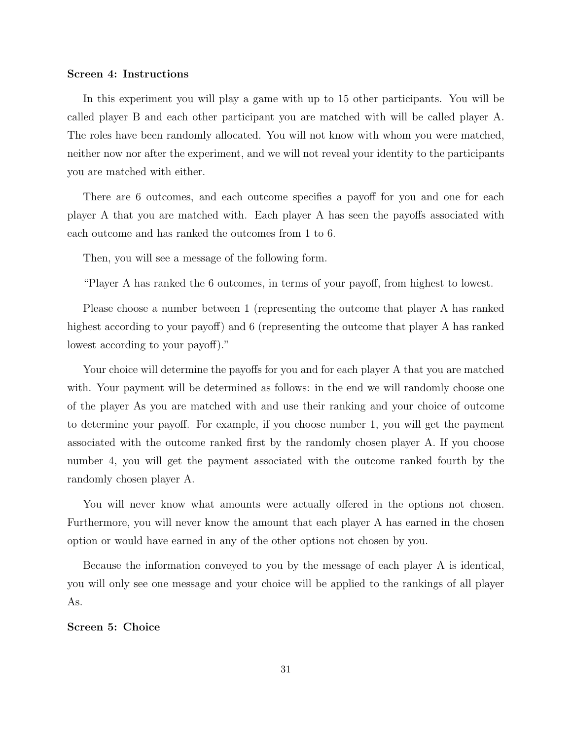#### Screen 4: Instructions

In this experiment you will play a game with up to 15 other participants. You will be called player B and each other participant you are matched with will be called player A. The roles have been randomly allocated. You will not know with whom you were matched, neither now nor after the experiment, and we will not reveal your identity to the participants you are matched with either.

There are 6 outcomes, and each outcome specifies a payoff for you and one for each player A that you are matched with. Each player A has seen the payoffs associated with each outcome and has ranked the outcomes from 1 to 6.

Then, you will see a message of the following form.

"Player A has ranked the 6 outcomes, in terms of your payoff, from highest to lowest.

Please choose a number between 1 (representing the outcome that player A has ranked highest according to your payoff) and 6 (representing the outcome that player A has ranked lowest according to your payoff)."

Your choice will determine the payoffs for you and for each player A that you are matched with. Your payment will be determined as follows: in the end we will randomly choose one of the player As you are matched with and use their ranking and your choice of outcome to determine your payoff. For example, if you choose number 1, you will get the payment associated with the outcome ranked first by the randomly chosen player A. If you choose number 4, you will get the payment associated with the outcome ranked fourth by the randomly chosen player A.

You will never know what amounts were actually offered in the options not chosen. Furthermore, you will never know the amount that each player A has earned in the chosen option or would have earned in any of the other options not chosen by you.

Because the information conveyed to you by the message of each player A is identical, you will only see one message and your choice will be applied to the rankings of all player As.

#### Screen 5: Choice